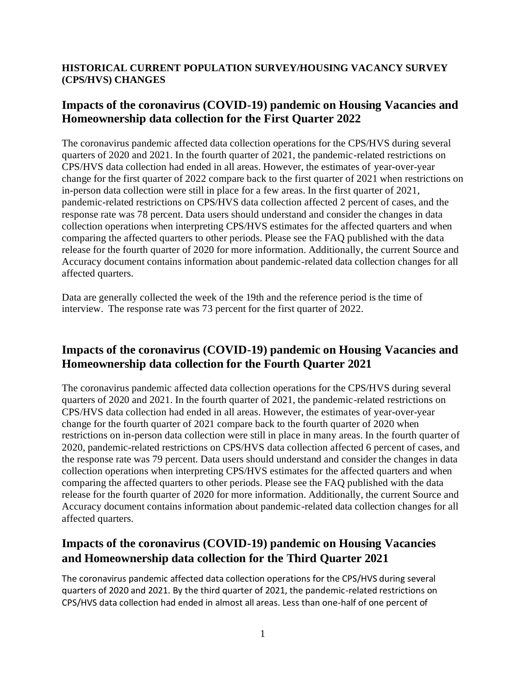# **HISTORICAL CURRENT POPULATION SURVEY/HOUSING VACANCY SURVEY (CPS/HVS) CHANGES**

# **Impacts of the coronavirus (COVID-19) pandemic on Housing Vacancies and Homeownership data collection for the First Quarter 2022**

The coronavirus pandemic affected data collection operations for the CPS/HVS during several quarters of 2020 and 2021. In the fourth quarter of 2021, the pandemic-related restrictions on CPS/HVS data collection had ended in all areas. However, the estimates of year-over-year change for the first quarter of 2022 compare back to the first quarter of 2021 when restrictions on in-person data collection were still in place for a few areas. In the first quarter of 2021, pandemic-related restrictions on CPS/HVS data collection affected 2 percent of cases, and the response rate was 78 percent. Data users should understand and consider the changes in data collection operations when interpreting CPS/HVS estimates for the affected quarters and when comparing the affected quarters to other periods. Please see the FAQ published with the data release for the fourth quarter of 2020 for more information. Additionally, the current Source and Accuracy document contains information about pandemic-related data collection changes for all affected quarters.

Data are generally collected the week of the 19th and the reference period is the time of interview. The response rate was 73 percent for the first quarter of 2022.

# **Impacts of the coronavirus (COVID-19) pandemic on Housing Vacancies and Homeownership data collection for the Fourth Quarter 2021**

The coronavirus pandemic affected data collection operations for the CPS/HVS during several quarters of 2020 and 2021. In the fourth quarter of 2021, the pandemic-related restrictions on CPS/HVS data collection had ended in all areas. However, the estimates of year-over-year change for the fourth quarter of 2021 compare back to the fourth quarter of 2020 when restrictions on in-person data collection were still in place in many areas. In the fourth quarter of 2020, pandemic-related restrictions on CPS/HVS data collection affected 6 percent of cases, and the response rate was 79 percent. Data users should understand and consider the changes in data collection operations when interpreting CPS/HVS estimates for the affected quarters and when comparing the affected quarters to other periods. Please see the FAQ published with the data release for the fourth quarter of 2020 for more information. Additionally, the current Source and Accuracy document contains information about pandemic-related data collection changes for all affected quarters.

# **Impacts of the coronavirus (COVID-19) pandemic on Housing Vacancies and Homeownership data collection for the Third Quarter 2021**

The coronavirus pandemic affected data collection operations for the CPS/HVS during several quarters of 2020 and 2021. By the third quarter of 2021, the pandemic-related restrictions on CPS/HVS data collection had ended in almost all areas. Less than one-half of one percent of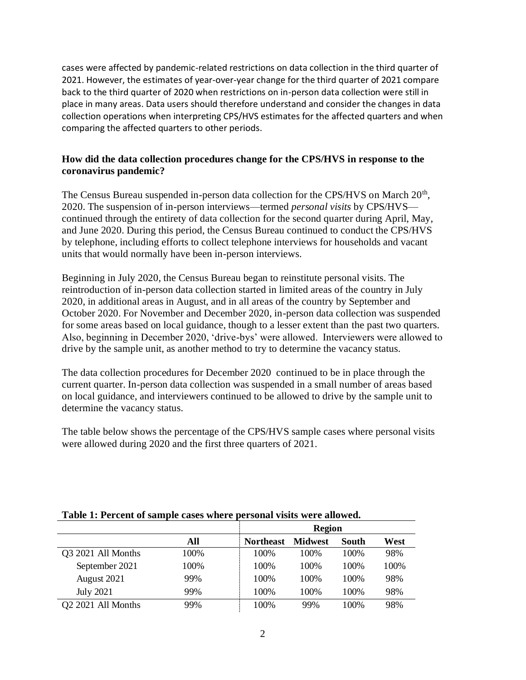cases were affected by pandemic-related restrictions on data collection in the third quarter of 2021. However, the estimates of year-over-year change for the third quarter of 2021 compare back to the third quarter of 2020 when restrictions on in-person data collection were still in place in many areas. Data users should therefore understand and consider the changes in data collection operations when interpreting CPS/HVS estimates for the affected quarters and when comparing the affected quarters to other periods.

## **How did the data collection procedures change for the CPS/HVS in response to the coronavirus pandemic?**

The Census Bureau suspended in-person data collection for the CPS/HVS on March 20<sup>th</sup>, 2020. The suspension of in-person interviews—termed *personal visits* by CPS/HVS continued through the entirety of data collection for the second quarter during April, May, and June 2020. During this period, the Census Bureau continued to conduct the CPS/HVS by telephone, including efforts to collect telephone interviews for households and vacant units that would normally have been in-person interviews.

Beginning in July 2020, the Census Bureau began to reinstitute personal visits. The reintroduction of in-person data collection started in limited areas of the country in July 2020, in additional areas in August, and in all areas of the country by September and October 2020. For November and December 2020, in-person data collection was suspended for some areas based on local guidance, though to a lesser extent than the past two quarters. Also, beginning in December 2020, 'drive-bys' were allowed. Interviewers were allowed to drive by the sample unit, as another method to try to determine the vacancy status.

The data collection procedures for December 2020 continued to be in place through the current quarter. In-person data collection was suspended in a small number of areas based on local guidance, and interviewers continued to be allowed to drive by the sample unit to determine the vacancy status.

The table below shows the percentage of the CPS/HVS sample cases where personal visits were allowed during 2020 and the first three quarters of 2021.

|                                |      | <b>Region</b>    |                |       |      |
|--------------------------------|------|------------------|----------------|-------|------|
|                                | All  | <b>Northeast</b> | <b>Midwest</b> | South | West |
| Q3 2021 All Months             | 100% | 100\%            | 100\%          | 100\% | 98%  |
| September 2021                 | 100% | 100\%            | 100\%          | 100\% | 100% |
| August 2021                    | 99%  | 100\%            | 100\%          | 100\% | 98%  |
| <b>July 2021</b>               | 99%  | 100\%            | 100\%          | 100\% | 98%  |
| O <sub>2</sub> 2021 All Months | 99%  | 100\%            | 99%            | 100%  | 98%  |

## **Table 1: Percent of sample cases where personal visits were allowed.**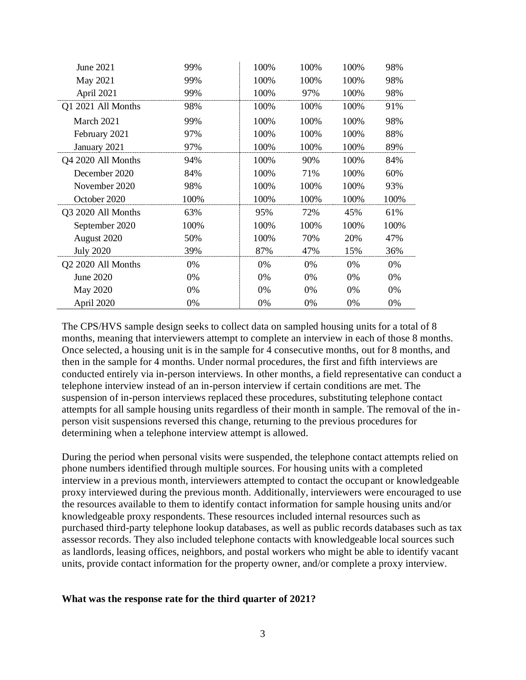| June 2021          | 99%  | 100% | 100% | 100% | 98%  |
|--------------------|------|------|------|------|------|
| May 2021           | 99%  | 100% | 100% | 100% | 98%  |
| April 2021         | 99%  | 100% | 97%  | 100% | 98%  |
| Q1 2021 All Months | 98%  | 100% | 100% | 100% | 91%  |
| March 2021         | 99%  | 100% | 100% | 100% | 98%  |
| February 2021      | 97%  | 100% | 100% | 100% | 88%  |
| January 2021       | 97%  | 100% | 100% | 100% | 89%  |
| Q4 2020 All Months | 94%  | 100% | 90%  | 100% | 84%  |
| December 2020      | 84%  | 100% | 71%  | 100% | 60%  |
| November 2020      | 98%  | 100% | 100% | 100% | 93%  |
| October 2020       | 100% | 100% | 100% | 100% | 100% |
| Q3 2020 All Months | 63%  | 95%  | 72%  | 45%  | 61%  |
| September 2020     | 100% | 100% | 100% | 100% | 100% |
| August 2020        | 50%  | 100% | 70%  | 20%  | 47%  |
| <b>July 2020</b>   | 39%  | 87%  | 47%  | 15%  | 36%  |
| Q2 2020 All Months | 0%   | 0%   | 0%   | 0%   | 0%   |
| June 2020          | 0%   | 0%   | 0%   | 0%   | 0%   |
| <b>May 2020</b>    | 0%   | 0%   | 0%   | 0%   | 0%   |
| April 2020         | 0%   | 0%   | 0%   | 0%   | 0%   |

The CPS/HVS sample design seeks to collect data on sampled housing units for a total of 8 months, meaning that interviewers attempt to complete an interview in each of those 8 months. Once selected, a housing unit is in the sample for 4 consecutive months, out for 8 months, and then in the sample for 4 months. Under normal procedures, the first and fifth interviews are conducted entirely via in-person interviews. In other months, a field representative can conduct a telephone interview instead of an in-person interview if certain conditions are met. The suspension of in-person interviews replaced these procedures, substituting telephone contact attempts for all sample housing units regardless of their month in sample. The removal of the inperson visit suspensions reversed this change, returning to the previous procedures for determining when a telephone interview attempt is allowed.

During the period when personal visits were suspended, the telephone contact attempts relied on phone numbers identified through multiple sources. For housing units with a completed interview in a previous month, interviewers attempted to contact the occupant or knowledgeable proxy interviewed during the previous month. Additionally, interviewers were encouraged to use the resources available to them to identify contact information for sample housing units and/or knowledgeable proxy respondents. These resources included internal resources such as purchased third-party telephone lookup databases, as well as public records databases such as tax assessor records. They also included telephone contacts with knowledgeable local sources such as landlords, leasing offices, neighbors, and postal workers who might be able to identify vacant units, provide contact information for the property owner, and/or complete a proxy interview.

## **What was the response rate for the third quarter of 2021?**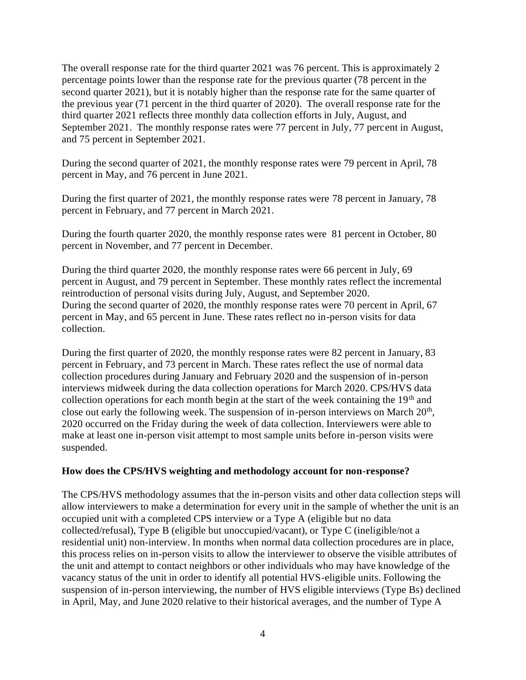The overall response rate for the third quarter 2021 was 76 percent. This is approximately 2 percentage points lower than the response rate for the previous quarter (78 percent in the second quarter 2021), but it is notably higher than the response rate for the same quarter of the previous year (71 percent in the third quarter of 2020). The overall response rate for the third quarter 2021 reflects three monthly data collection efforts in July, August, and September 2021. The monthly response rates were 77 percent in July, 77 percent in August, and 75 percent in September 2021.

During the second quarter of 2021, the monthly response rates were 79 percent in April, 78 percent in May, and 76 percent in June 2021.

During the first quarter of 2021, the monthly response rates were 78 percent in January, 78 percent in February, and 77 percent in March 2021.

During the fourth quarter 2020, the monthly response rates were 81 percent in October, 80 percent in November, and 77 percent in December.

During the third quarter 2020, the monthly response rates were 66 percent in July, 69 percent in August, and 79 percent in September. These monthly rates reflect the incremental reintroduction of personal visits during July, August, and September 2020. During the second quarter of 2020, the monthly response rates were 70 percent in April, 67 percent in May, and 65 percent in June. These rates reflect no in-person visits for data collection.

During the first quarter of 2020, the monthly response rates were 82 percent in January, 83 percent in February, and 73 percent in March. These rates reflect the use of normal data collection procedures during January and February 2020 and the suspension of in-person interviews midweek during the data collection operations for March 2020. CPS/HVS data collection operations for each month begin at the start of the week containing the  $19<sup>th</sup>$  and close out early the following week. The suspension of in-person interviews on March  $20<sup>th</sup>$ , 2020 occurred on the Friday during the week of data collection. Interviewers were able to make at least one in-person visit attempt to most sample units before in-person visits were suspended.

## **How does the CPS/HVS weighting and methodology account for non-response?**

The CPS/HVS methodology assumes that the in-person visits and other data collection steps will allow interviewers to make a determination for every unit in the sample of whether the unit is an occupied unit with a completed CPS interview or a Type A (eligible but no data collected/refusal), Type B (eligible but unoccupied/vacant), or Type C (ineligible/not a residential unit) non-interview. In months when normal data collection procedures are in place, this process relies on in-person visits to allow the interviewer to observe the visible attributes of the unit and attempt to contact neighbors or other individuals who may have knowledge of the vacancy status of the unit in order to identify all potential HVS-eligible units. Following the suspension of in-person interviewing, the number of HVS eligible interviews (Type Bs) declined in April, May, and June 2020 relative to their historical averages, and the number of Type A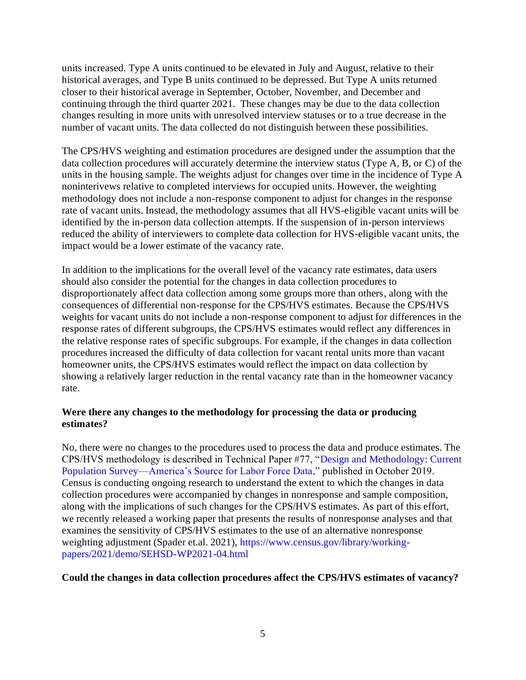units increased. Type A units continued to be elevated in July and August, relative to their historical averages, and Type B units continued to be depressed. But Type A units returned closer to their historical average in September, October, November, and December and continuing through the third quarter 2021. These changes may be due to the data collection changes resulting in more units with unresolved interview statuses or to a true decrease in the number of vacant units. The data collected do not distinguish between these possibilities.

The CPS/HVS weighting and estimation procedures are designed under the assumption that the data collection procedures will accurately determine the interview status (Type A, B, or C) of the units in the housing sample. The weights adjust for changes over time in the incidence of Type A noninterivews relative to completed interviews for occupied units. However, the weighting methodology does not include a non-response component to adjust for changes in the response rate of vacant units. Instead, the methodology assumes that all HVS-eligible vacant units will be identified by the in-person data collection attempts. If the suspension of in-person interviews reduced the ability of interviewers to complete data collection for HVS-eligible vacant units, the impact would be a lower estimate of the vacancy rate.

In addition to the implications for the overall level of the vacancy rate estimates, data users should also consider the potential for the changes in data collection procedures to disproportionately affect data collection among some groups more than others, along with the consequences of differential non-response for the CPS/HVS estimates. Because the CPS/HVS weights for vacant units do not include a non-response component to adjust for differences in the response rates of different subgroups, the CPS/HVS estimates would reflect any differences in the relative response rates of specific subgroups. For example, if the changes in data collection procedures increased the difficulty of data collection for vacant rental units more than vacant homeowner units, the CPS/HVS estimates would reflect the impact on data collection by showing a relatively larger reduction in the rental vacancy rate than in the homeowner vacancy rate.

## **Were there any changes to the methodology for processing the data or producing estimates?**

No, there were no changes to the procedures used to process the data and produce estimates. The CPS/HVS methodology is described in Technical Paper #77, ["Design and Methodology: Current](https://www2.census.gov/programs-surveys/cps/methodology/CPS-Tech-Paper-77.pdf)  [Population Survey—America's Source for Labor Force Data,](https://www2.census.gov/programs-surveys/cps/methodology/CPS-Tech-Paper-77.pdf)" published in October 2019. Census is conducting ongoing research to understand the extent to which the changes in data collection procedures were accompanied by changes in nonresponse and sample composition, along with the implications of such changes for the CPS/HVS estimates. As part of this effort, we recently released a working paper that presents the results of nonresponse analyses and that examines the sensitivity of CPS/HVS estimates to the use of an alternative nonresponse weighting adjustment (Spader et.al. 2021), [https://www.census.gov/library/working](https://www.census.gov/library/working-papers/2021/demo/SEHSD-WP2021-04.html)[papers/2021/demo/SEHSD-WP2021-04.html](https://www.census.gov/library/working-papers/2021/demo/SEHSD-WP2021-04.html)

## **Could the changes in data collection procedures affect the CPS/HVS estimates of vacancy?**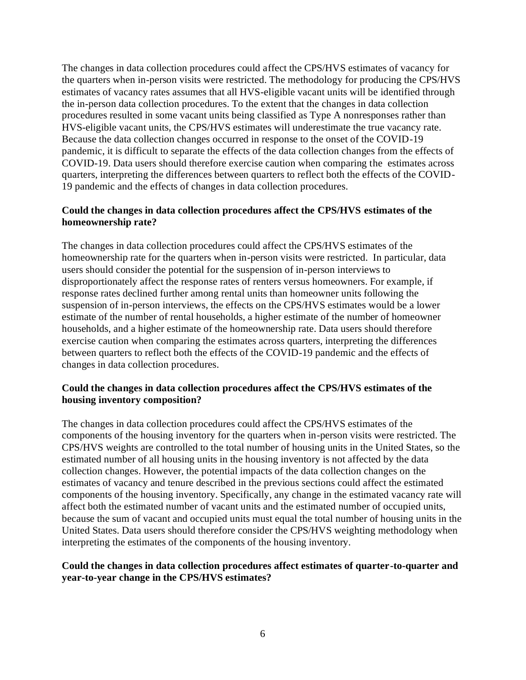The changes in data collection procedures could affect the CPS/HVS estimates of vacancy for the quarters when in-person visits were restricted. The methodology for producing the CPS/HVS estimates of vacancy rates assumes that all HVS-eligible vacant units will be identified through the in-person data collection procedures. To the extent that the changes in data collection procedures resulted in some vacant units being classified as Type A nonresponses rather than HVS-eligible vacant units, the CPS/HVS estimates will underestimate the true vacancy rate. Because the data collection changes occurred in response to the onset of the COVID-19 pandemic, it is difficult to separate the effects of the data collection changes from the effects of COVID-19. Data users should therefore exercise caution when comparing the estimates across quarters, interpreting the differences between quarters to reflect both the effects of the COVID-19 pandemic and the effects of changes in data collection procedures.

## **Could the changes in data collection procedures affect the CPS/HVS estimates of the homeownership rate?**

The changes in data collection procedures could affect the CPS/HVS estimates of the homeownership rate for the quarters when in-person visits were restricted. In particular, data users should consider the potential for the suspension of in-person interviews to disproportionately affect the response rates of renters versus homeowners. For example, if response rates declined further among rental units than homeowner units following the suspension of in-person interviews, the effects on the CPS/HVS estimates would be a lower estimate of the number of rental households, a higher estimate of the number of homeowner households, and a higher estimate of the homeownership rate. Data users should therefore exercise caution when comparing the estimates across quarters, interpreting the differences between quarters to reflect both the effects of the COVID-19 pandemic and the effects of changes in data collection procedures.

## **Could the changes in data collection procedures affect the CPS/HVS estimates of the housing inventory composition?**

The changes in data collection procedures could affect the CPS/HVS estimates of the components of the housing inventory for the quarters when in-person visits were restricted. The CPS/HVS weights are controlled to the total number of housing units in the United States, so the estimated number of all housing units in the housing inventory is not affected by the data collection changes. However, the potential impacts of the data collection changes on the estimates of vacancy and tenure described in the previous sections could affect the estimated components of the housing inventory. Specifically, any change in the estimated vacancy rate will affect both the estimated number of vacant units and the estimated number of occupied units, because the sum of vacant and occupied units must equal the total number of housing units in the United States. Data users should therefore consider the CPS/HVS weighting methodology when interpreting the estimates of the components of the housing inventory.

## **Could the changes in data collection procedures affect estimates of quarter-to-quarter and year-to-year change in the CPS/HVS estimates?**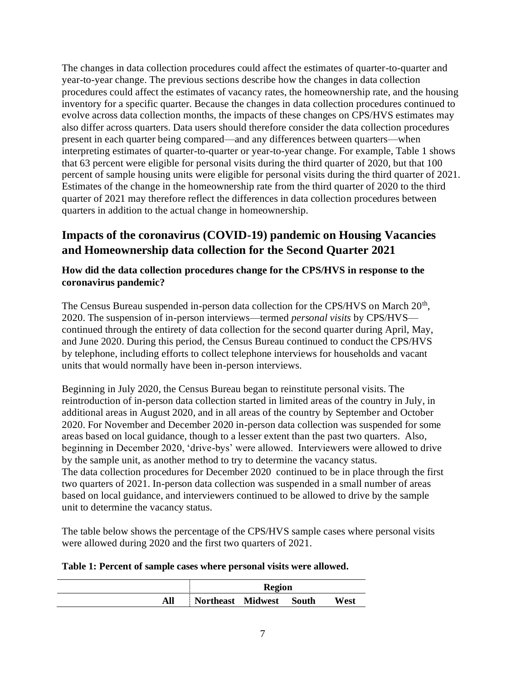The changes in data collection procedures could affect the estimates of quarter-to-quarter and year-to-year change. The previous sections describe how the changes in data collection procedures could affect the estimates of vacancy rates, the homeownership rate, and the housing inventory for a specific quarter. Because the changes in data collection procedures continued to evolve across data collection months, the impacts of these changes on CPS/HVS estimates may also differ across quarters. Data users should therefore consider the data collection procedures present in each quarter being compared—and any differences between quarters—when interpreting estimates of quarter-to-quarter or year-to-year change. For example, Table 1 shows that 63 percent were eligible for personal visits during the third quarter of 2020, but that 100 percent of sample housing units were eligible for personal visits during the third quarter of 2021. Estimates of the change in the homeownership rate from the third quarter of 2020 to the third quarter of 2021 may therefore reflect the differences in data collection procedures between quarters in addition to the actual change in homeownership.

# **Impacts of the coronavirus (COVID-19) pandemic on Housing Vacancies and Homeownership data collection for the Second Quarter 2021**

# **How did the data collection procedures change for the CPS/HVS in response to the coronavirus pandemic?**

The Census Bureau suspended in-person data collection for the CPS/HVS on March 20<sup>th</sup>, 2020. The suspension of in-person interviews—termed *personal visits* by CPS/HVS continued through the entirety of data collection for the second quarter during April, May, and June 2020. During this period, the Census Bureau continued to conduct the CPS/HVS by telephone, including efforts to collect telephone interviews for households and vacant units that would normally have been in-person interviews.

Beginning in July 2020, the Census Bureau began to reinstitute personal visits. The reintroduction of in-person data collection started in limited areas of the country in July, in additional areas in August 2020, and in all areas of the country by September and October 2020. For November and December 2020 in-person data collection was suspended for some areas based on local guidance, though to a lesser extent than the past two quarters. Also, beginning in December 2020, 'drive-bys' were allowed. Interviewers were allowed to drive by the sample unit, as another method to try to determine the vacancy status. The data collection procedures for December 2020 continued to be in place through the first two quarters of 2021. In-person data collection was suspended in a small number of areas based on local guidance, and interviewers continued to be allowed to drive by the sample unit to determine the vacancy status.

The table below shows the percentage of the CPS/HVS sample cases where personal visits were allowed during 2020 and the first two quarters of 2021.

## **Table 1: Percent of sample cases where personal visits were allowed.**

|     |                         | <b>Region</b> |      |
|-----|-------------------------|---------------|------|
| All | Northeast Midwest South |               | West |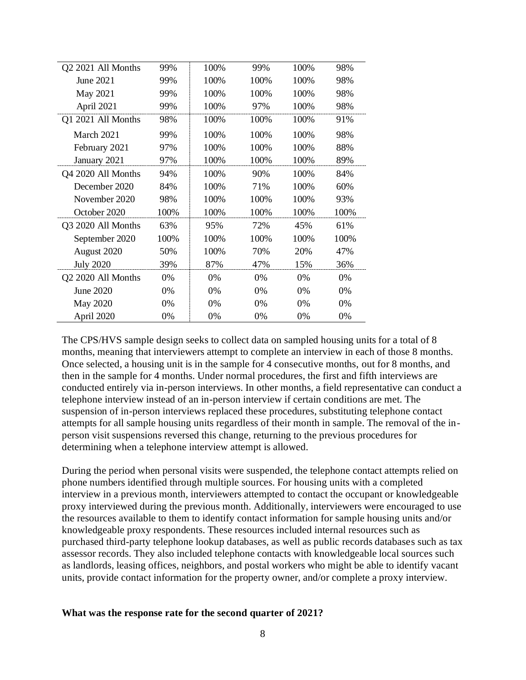| Q2 2021 All Months | 99%  | 100% | 99%  | 100% | 98%  |
|--------------------|------|------|------|------|------|
| June 2021          | 99%  | 100% | 100% | 100% | 98%  |
| May 2021           | 99%  | 100% | 100% | 100% | 98%  |
| April 2021         | 99%  | 100% | 97%  | 100% | 98%  |
| Q1 2021 All Months | 98%  | 100% | 100% | 100% | 91%  |
| March 2021         | 99%  | 100% | 100% | 100% | 98%  |
| February 2021      | 97%  | 100% | 100% | 100% | 88%  |
| January 2021       | 97%  | 100% | 100% | 100% | 89%  |
| Q4 2020 All Months | 94%  | 100% | 90%  | 100% | 84%  |
| December 2020      | 84%  | 100% | 71%  | 100% | 60%  |
| November 2020      | 98%  | 100% | 100% | 100% | 93%  |
| October 2020       | 100% | 100% | 100% | 100% | 100% |
| Q3 2020 All Months | 63%  | 95%  | 72%  | 45%  | 61%  |
| September 2020     | 100% | 100% | 100% | 100% | 100% |
| August 2020        | 50%  | 100% | 70%  | 20%  | 47%  |
| <b>July 2020</b>   | 39%  | 87%  | 47%  | 15%  | 36%  |
| Q2 2020 All Months | 0%   | 0%   | 0%   | 0%   | 0%   |
| June 2020          | 0%   | 0%   | 0%   | 0%   | 0%   |
| May 2020           | 0%   | 0%   | 0%   | 0%   | 0%   |
| April 2020         | 0%   | 0%   | 0%   | 0%   | 0%   |

The CPS/HVS sample design seeks to collect data on sampled housing units for a total of 8 months, meaning that interviewers attempt to complete an interview in each of those 8 months. Once selected, a housing unit is in the sample for 4 consecutive months, out for 8 months, and then in the sample for 4 months. Under normal procedures, the first and fifth interviews are conducted entirely via in-person interviews. In other months, a field representative can conduct a telephone interview instead of an in-person interview if certain conditions are met. The suspension of in-person interviews replaced these procedures, substituting telephone contact attempts for all sample housing units regardless of their month in sample. The removal of the inperson visit suspensions reversed this change, returning to the previous procedures for determining when a telephone interview attempt is allowed.

During the period when personal visits were suspended, the telephone contact attempts relied on phone numbers identified through multiple sources. For housing units with a completed interview in a previous month, interviewers attempted to contact the occupant or knowledgeable proxy interviewed during the previous month. Additionally, interviewers were encouraged to use the resources available to them to identify contact information for sample housing units and/or knowledgeable proxy respondents. These resources included internal resources such as purchased third-party telephone lookup databases, as well as public records databases such as tax assessor records. They also included telephone contacts with knowledgeable local sources such as landlords, leasing offices, neighbors, and postal workers who might be able to identify vacant units, provide contact information for the property owner, and/or complete a proxy interview.

#### **What was the response rate for the second quarter of 2021?**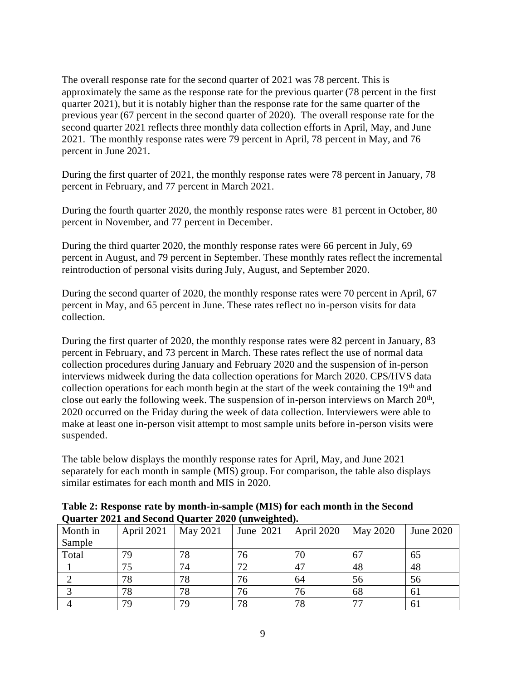The overall response rate for the second quarter of 2021 was 78 percent. This is approximately the same as the response rate for the previous quarter (78 percent in the first quarter 2021), but it is notably higher than the response rate for the same quarter of the previous year (67 percent in the second quarter of 2020). The overall response rate for the second quarter 2021 reflects three monthly data collection efforts in April, May, and June 2021. The monthly response rates were 79 percent in April, 78 percent in May, and 76 percent in June 2021.

During the first quarter of 2021, the monthly response rates were 78 percent in January, 78 percent in February, and 77 percent in March 2021.

During the fourth quarter 2020, the monthly response rates were 81 percent in October, 80 percent in November, and 77 percent in December.

During the third quarter 2020, the monthly response rates were 66 percent in July, 69 percent in August, and 79 percent in September. These monthly rates reflect the incremental reintroduction of personal visits during July, August, and September 2020.

During the second quarter of 2020, the monthly response rates were 70 percent in April, 67 percent in May, and 65 percent in June. These rates reflect no in-person visits for data collection.

During the first quarter of 2020, the monthly response rates were 82 percent in January, 83 percent in February, and 73 percent in March. These rates reflect the use of normal data collection procedures during January and February 2020 and the suspension of in-person interviews midweek during the data collection operations for March 2020. CPS/HVS data collection operations for each month begin at the start of the week containing the  $19<sup>th</sup>$  and close out early the following week. The suspension of in-person interviews on March  $20<sup>th</sup>$ , 2020 occurred on the Friday during the week of data collection. Interviewers were able to make at least one in-person visit attempt to most sample units before in-person visits were suspended.

The table below displays the monthly response rates for April, May, and June 2021 separately for each month in sample (MIS) group. For comparison, the table also displays similar estimates for each month and MIS in 2020.

**Table 2: Response rate by month-in-sample (MIS) for each month in the Second Quarter 2021 and Second Quarter 2020 (unweighted).** 

| Month in | April 2021 | May 2021 | June 2021 | April 2020 | May 2020 | June 2020 |
|----------|------------|----------|-----------|------------|----------|-----------|
| Sample   |            |          |           |            |          |           |
| Total    | 79         | 78       | 76        | 70         | 67       | 65        |
|          | 75         | 74       | 72        | 47         | 48       | 48        |
|          | 78         | 78       | 76        | 64         | 56       | 56        |
|          | 78         | 78       | 76        | 76         | 68       | 61        |
|          | 79         | 79       | 78        | 78         | 77       | 61        |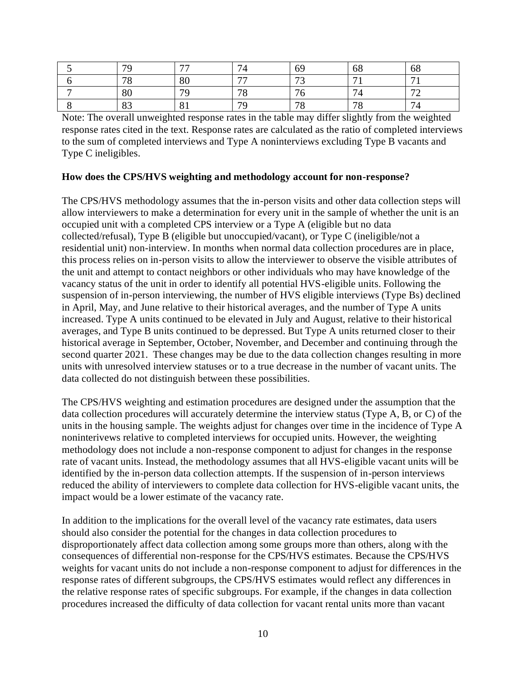| 70 | $\overline{\phantom{m}}$ | 74             | 69                       | 68                       | 68             |
|----|--------------------------|----------------|--------------------------|--------------------------|----------------|
| 70 | 80                       | $\overline{a}$ | $\overline{\phantom{a}}$ | $\overline{ }$           | $\overline{ }$ |
| 80 | 70                       | 70             | $\sim$                   | $\overline{ }$<br>/ ∠l   | $\mathbf{a}$   |
| 83 | $\Omega$<br>O J          | 70             | 70<br>O                  | $\overline{\phantom{a}}$ | $\overline{ }$ |

Note: The overall unweighted response rates in the table may differ slightly from the weighted response rates cited in the text. Response rates are calculated as the ratio of completed interviews to the sum of completed interviews and Type A noninterviews excluding Type B vacants and Type C ineligibles.

## **How does the CPS/HVS weighting and methodology account for non-response?**

The CPS/HVS methodology assumes that the in-person visits and other data collection steps will allow interviewers to make a determination for every unit in the sample of whether the unit is an occupied unit with a completed CPS interview or a Type A (eligible but no data collected/refusal), Type B (eligible but unoccupied/vacant), or Type C (ineligible/not a residential unit) non-interview. In months when normal data collection procedures are in place, this process relies on in-person visits to allow the interviewer to observe the visible attributes of the unit and attempt to contact neighbors or other individuals who may have knowledge of the vacancy status of the unit in order to identify all potential HVS-eligible units. Following the suspension of in-person interviewing, the number of HVS eligible interviews (Type Bs) declined in April, May, and June relative to their historical averages, and the number of Type A units increased. Type A units continued to be elevated in July and August, relative to their historical averages, and Type B units continued to be depressed. But Type A units returned closer to their historical average in September, October, November, and December and continuing through the second quarter 2021. These changes may be due to the data collection changes resulting in more units with unresolved interview statuses or to a true decrease in the number of vacant units. The data collected do not distinguish between these possibilities.

The CPS/HVS weighting and estimation procedures are designed under the assumption that the data collection procedures will accurately determine the interview status (Type A, B, or C) of the units in the housing sample. The weights adjust for changes over time in the incidence of Type A noninterivews relative to completed interviews for occupied units. However, the weighting methodology does not include a non-response component to adjust for changes in the response rate of vacant units. Instead, the methodology assumes that all HVS-eligible vacant units will be identified by the in-person data collection attempts. If the suspension of in-person interviews reduced the ability of interviewers to complete data collection for HVS-eligible vacant units, the impact would be a lower estimate of the vacancy rate.

In addition to the implications for the overall level of the vacancy rate estimates, data users should also consider the potential for the changes in data collection procedures to disproportionately affect data collection among some groups more than others, along with the consequences of differential non-response for the CPS/HVS estimates. Because the CPS/HVS weights for vacant units do not include a non-response component to adjust for differences in the response rates of different subgroups, the CPS/HVS estimates would reflect any differences in the relative response rates of specific subgroups. For example, if the changes in data collection procedures increased the difficulty of data collection for vacant rental units more than vacant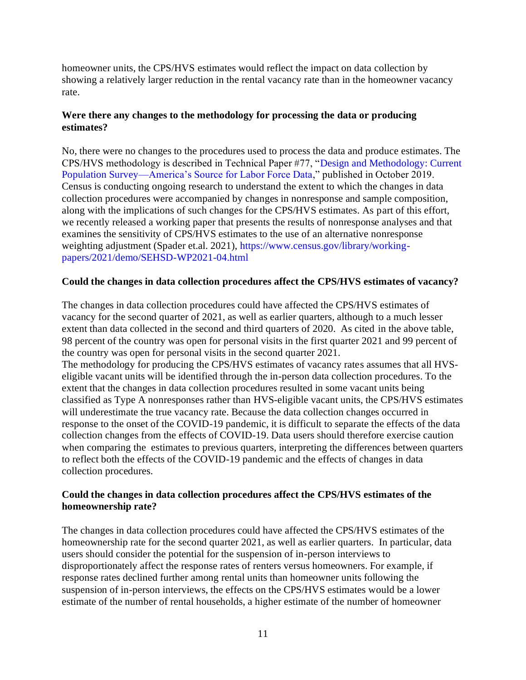homeowner units, the CPS/HVS estimates would reflect the impact on data collection by showing a relatively larger reduction in the rental vacancy rate than in the homeowner vacancy rate.

# **Were there any changes to the methodology for processing the data or producing estimates?**

No, there were no changes to the procedures used to process the data and produce estimates. The CPS/HVS methodology is described in Technical Paper #77, ["Design and Methodology: Current](https://www2.census.gov/programs-surveys/cps/methodology/CPS-Tech-Paper-77.pdf)  [Population Survey—America's Source for Labor Force Data,](https://www2.census.gov/programs-surveys/cps/methodology/CPS-Tech-Paper-77.pdf)" published in October 2019. Census is conducting ongoing research to understand the extent to which the changes in data collection procedures were accompanied by changes in nonresponse and sample composition, along with the implications of such changes for the CPS/HVS estimates. As part of this effort, we recently released a working paper that presents the results of nonresponse analyses and that examines the sensitivity of CPS/HVS estimates to the use of an alternative nonresponse weighting adjustment (Spader et.al. 2021), [https://www.census.gov/library/working](https://www.census.gov/library/working-papers/2021/demo/SEHSD-WP2021-04.html)[papers/2021/demo/SEHSD-WP2021-04.html](https://www.census.gov/library/working-papers/2021/demo/SEHSD-WP2021-04.html)

## **Could the changes in data collection procedures affect the CPS/HVS estimates of vacancy?**

The changes in data collection procedures could have affected the CPS/HVS estimates of vacancy for the second quarter of 2021, as well as earlier quarters, although to a much lesser extent than data collected in the second and third quarters of 2020. As cited in the above table, 98 percent of the country was open for personal visits in the first quarter 2021 and 99 percent of the country was open for personal visits in the second quarter 2021.

The methodology for producing the CPS/HVS estimates of vacancy rates assumes that all HVSeligible vacant units will be identified through the in-person data collection procedures. To the extent that the changes in data collection procedures resulted in some vacant units being classified as Type A nonresponses rather than HVS-eligible vacant units, the CPS/HVS estimates will underestimate the true vacancy rate. Because the data collection changes occurred in response to the onset of the COVID-19 pandemic, it is difficult to separate the effects of the data collection changes from the effects of COVID-19. Data users should therefore exercise caution when comparing the estimates to previous quarters, interpreting the differences between quarters to reflect both the effects of the COVID-19 pandemic and the effects of changes in data collection procedures.

## **Could the changes in data collection procedures affect the CPS/HVS estimates of the homeownership rate?**

The changes in data collection procedures could have affected the CPS/HVS estimates of the homeownership rate for the second quarter 2021, as well as earlier quarters. In particular, data users should consider the potential for the suspension of in-person interviews to disproportionately affect the response rates of renters versus homeowners. For example, if response rates declined further among rental units than homeowner units following the suspension of in-person interviews, the effects on the CPS/HVS estimates would be a lower estimate of the number of rental households, a higher estimate of the number of homeowner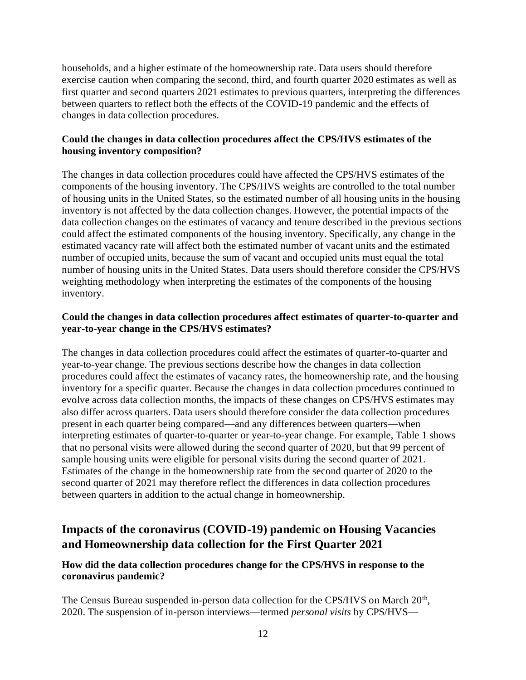households, and a higher estimate of the homeownership rate. Data users should therefore exercise caution when comparing the second, third, and fourth quarter 2020 estimates as well as first quarter and second quarters 2021 estimates to previous quarters, interpreting the differences between quarters to reflect both the effects of the COVID-19 pandemic and the effects of changes in data collection procedures.

# **Could the changes in data collection procedures affect the CPS/HVS estimates of the housing inventory composition?**

The changes in data collection procedures could have affected the CPS/HVS estimates of the components of the housing inventory. The CPS/HVS weights are controlled to the total number of housing units in the United States, so the estimated number of all housing units in the housing inventory is not affected by the data collection changes. However, the potential impacts of the data collection changes on the estimates of vacancy and tenure described in the previous sections could affect the estimated components of the housing inventory. Specifically, any change in the estimated vacancy rate will affect both the estimated number of vacant units and the estimated number of occupied units, because the sum of vacant and occupied units must equal the total number of housing units in the United States. Data users should therefore consider the CPS/HVS weighting methodology when interpreting the estimates of the components of the housing inventory.

# **Could the changes in data collection procedures affect estimates of quarter-to-quarter and year-to-year change in the CPS/HVS estimates?**

The changes in data collection procedures could affect the estimates of quarter-to-quarter and year-to-year change. The previous sections describe how the changes in data collection procedures could affect the estimates of vacancy rates, the homeownership rate, and the housing inventory for a specific quarter. Because the changes in data collection procedures continued to evolve across data collection months, the impacts of these changes on CPS/HVS estimates may also differ across quarters. Data users should therefore consider the data collection procedures present in each quarter being compared—and any differences between quarters—when interpreting estimates of quarter-to-quarter or year-to-year change. For example, Table 1 shows that no personal visits were allowed during the second quarter of 2020, but that 99 percent of sample housing units were eligible for personal visits during the second quarter of 2021. Estimates of the change in the homeownership rate from the second quarter of 2020 to the second quarter of 2021 may therefore reflect the differences in data collection procedures between quarters in addition to the actual change in homeownership.

# **Impacts of the coronavirus (COVID-19) pandemic on Housing Vacancies and Homeownership data collection for the First Quarter 2021**

# **How did the data collection procedures change for the CPS/HVS in response to the coronavirus pandemic?**

The Census Bureau suspended in-person data collection for the CPS/HVS on March 20<sup>th</sup>, 2020. The suspension of in-person interviews—termed *personal visits* by CPS/HVS—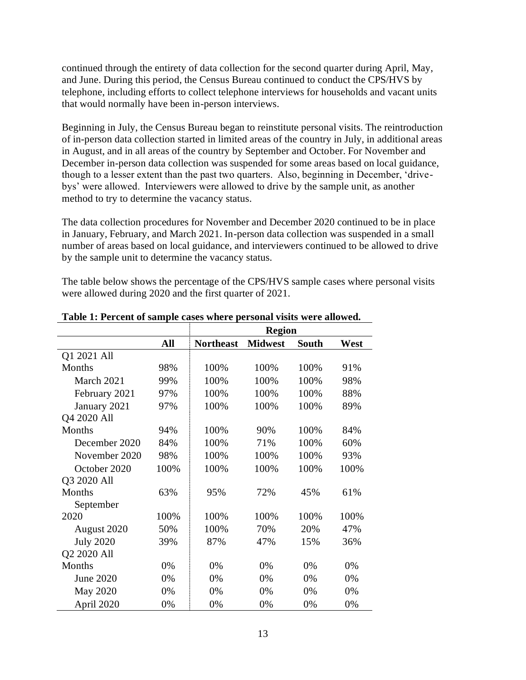continued through the entirety of data collection for the second quarter during April, May, and June. During this period, the Census Bureau continued to conduct the CPS/HVS by telephone, including efforts to collect telephone interviews for households and vacant units that would normally have been in-person interviews.

Beginning in July, the Census Bureau began to reinstitute personal visits. The reintroduction of in-person data collection started in limited areas of the country in July, in additional areas in August, and in all areas of the country by September and October. For November and December in-person data collection was suspended for some areas based on local guidance, though to a lesser extent than the past two quarters. Also, beginning in December, 'drivebys' were allowed. Interviewers were allowed to drive by the sample unit, as another method to try to determine the vacancy status.

The data collection procedures for November and December 2020 continued to be in place in January, February, and March 2021. In-person data collection was suspended in a small number of areas based on local guidance, and interviewers continued to be allowed to drive by the sample unit to determine the vacancy status.

The table below shows the percentage of the CPS/HVS sample cases where personal visits were allowed during 2020 and the first quarter of 2021.

|                  |      |                  | <b>Region</b>  |              |      |
|------------------|------|------------------|----------------|--------------|------|
|                  | All  | <b>Northeast</b> | <b>Midwest</b> | <b>South</b> | West |
| Q1 2021 All      |      |                  |                |              |      |
| Months           | 98%  | 100%             | 100%           | 100%         | 91%  |
| March 2021       | 99%  | 100%             | 100%           | 100%         | 98%  |
| February 2021    | 97%  | 100%             | 100%           | 100%         | 88%  |
| January 2021     | 97%  | 100%             | 100%           | 100%         | 89%  |
| Q4 2020 All      |      |                  |                |              |      |
| Months           | 94%  | 100%             | 90%            | 100%         | 84%  |
| December 2020    | 84%  | 100%             | 71%            | 100%         | 60%  |
| November 2020    | 98%  | 100%             | 100%           | 100%         | 93%  |
| October 2020     | 100% | 100%             | 100%           | 100%         | 100% |
| Q3 2020 All      |      |                  |                |              |      |
| <b>Months</b>    | 63%  | 95%              | 72%            | 45%          | 61%  |
| September        |      |                  |                |              |      |
| 2020             | 100% | 100%             | 100%           | 100%         | 100% |
| August 2020      | 50%  | 100%             | 70%            | 20%          | 47%  |
| <b>July 2020</b> | 39%  | 87%              | 47%            | 15%          | 36%  |
| Q2 2020 All      |      |                  |                |              |      |
| Months           | 0%   | 0%               | 0%             | 0%           | 0%   |
| June 2020        | 0%   | 0%               | 0%             | 0%           | 0%   |
| May 2020         | 0%   | 0%               | 0%             | 0%           | 0%   |
| April 2020       | 0%   | 0%               | 0%             | 0%           | 0%   |

**Table 1: Percent of sample cases where personal visits were allowed.**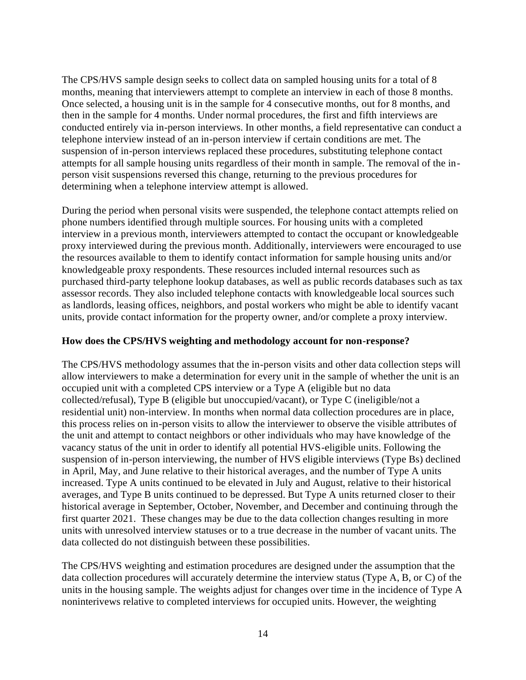The CPS/HVS sample design seeks to collect data on sampled housing units for a total of 8 months, meaning that interviewers attempt to complete an interview in each of those 8 months. Once selected, a housing unit is in the sample for 4 consecutive months, out for 8 months, and then in the sample for 4 months. Under normal procedures, the first and fifth interviews are conducted entirely via in-person interviews. In other months, a field representative can conduct a telephone interview instead of an in-person interview if certain conditions are met. The suspension of in-person interviews replaced these procedures, substituting telephone contact attempts for all sample housing units regardless of their month in sample. The removal of the inperson visit suspensions reversed this change, returning to the previous procedures for determining when a telephone interview attempt is allowed.

During the period when personal visits were suspended, the telephone contact attempts relied on phone numbers identified through multiple sources. For housing units with a completed interview in a previous month, interviewers attempted to contact the occupant or knowledgeable proxy interviewed during the previous month. Additionally, interviewers were encouraged to use the resources available to them to identify contact information for sample housing units and/or knowledgeable proxy respondents. These resources included internal resources such as purchased third-party telephone lookup databases, as well as public records databases such as tax assessor records. They also included telephone contacts with knowledgeable local sources such as landlords, leasing offices, neighbors, and postal workers who might be able to identify vacant units, provide contact information for the property owner, and/or complete a proxy interview.

## **How does the CPS/HVS weighting and methodology account for non-response?**

The CPS/HVS methodology assumes that the in-person visits and other data collection steps will allow interviewers to make a determination for every unit in the sample of whether the unit is an occupied unit with a completed CPS interview or a Type A (eligible but no data collected/refusal), Type B (eligible but unoccupied/vacant), or Type C (ineligible/not a residential unit) non-interview. In months when normal data collection procedures are in place, this process relies on in-person visits to allow the interviewer to observe the visible attributes of the unit and attempt to contact neighbors or other individuals who may have knowledge of the vacancy status of the unit in order to identify all potential HVS-eligible units. Following the suspension of in-person interviewing, the number of HVS eligible interviews (Type Bs) declined in April, May, and June relative to their historical averages, and the number of Type A units increased. Type A units continued to be elevated in July and August, relative to their historical averages, and Type B units continued to be depressed. But Type A units returned closer to their historical average in September, October, November, and December and continuing through the first quarter 2021. These changes may be due to the data collection changes resulting in more units with unresolved interview statuses or to a true decrease in the number of vacant units. The data collected do not distinguish between these possibilities.

The CPS/HVS weighting and estimation procedures are designed under the assumption that the data collection procedures will accurately determine the interview status (Type A, B, or C) of the units in the housing sample. The weights adjust for changes over time in the incidence of Type A noninterivews relative to completed interviews for occupied units. However, the weighting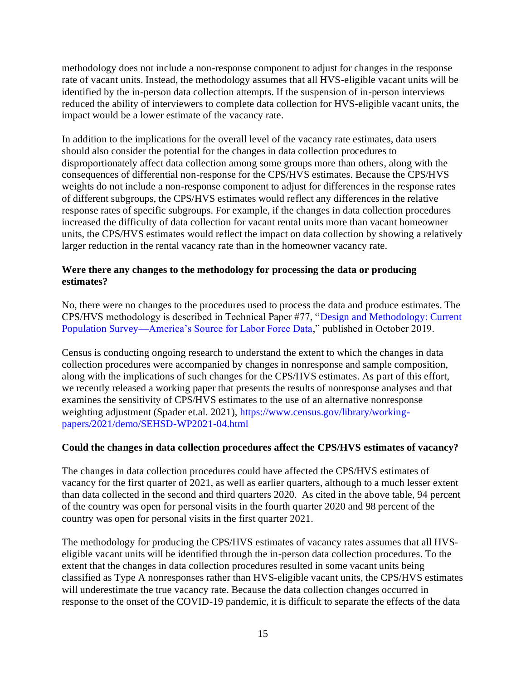methodology does not include a non-response component to adjust for changes in the response rate of vacant units. Instead, the methodology assumes that all HVS-eligible vacant units will be identified by the in-person data collection attempts. If the suspension of in-person interviews reduced the ability of interviewers to complete data collection for HVS-eligible vacant units, the impact would be a lower estimate of the vacancy rate.

In addition to the implications for the overall level of the vacancy rate estimates, data users should also consider the potential for the changes in data collection procedures to disproportionately affect data collection among some groups more than others, along with the consequences of differential non-response for the CPS/HVS estimates. Because the CPS/HVS weights do not include a non-response component to adjust for differences in the response rates of different subgroups, the CPS/HVS estimates would reflect any differences in the relative response rates of specific subgroups. For example, if the changes in data collection procedures increased the difficulty of data collection for vacant rental units more than vacant homeowner units, the CPS/HVS estimates would reflect the impact on data collection by showing a relatively larger reduction in the rental vacancy rate than in the homeowner vacancy rate.

# **Were there any changes to the methodology for processing the data or producing estimates?**

No, there were no changes to the procedures used to process the data and produce estimates. The CPS/HVS methodology is described in Technical Paper #77, ["Design and Methodology: Current](https://www2.census.gov/programs-surveys/cps/methodology/CPS-Tech-Paper-77.pdf)  [Population Survey—America's Source for Labor Force Data,](https://www2.census.gov/programs-surveys/cps/methodology/CPS-Tech-Paper-77.pdf)" published in October 2019.

Census is conducting ongoing research to understand the extent to which the changes in data collection procedures were accompanied by changes in nonresponse and sample composition, along with the implications of such changes for the CPS/HVS estimates. As part of this effort, we recently released a working paper that presents the results of nonresponse analyses and that examines the sensitivity of CPS/HVS estimates to the use of an alternative nonresponse weighting adjustment (Spader et.al. 2021), [https://www.census.gov/library/working](https://www.census.gov/library/working-papers/2021/demo/SEHSD-WP2021-04.html)[papers/2021/demo/SEHSD-WP2021-04.html](https://www.census.gov/library/working-papers/2021/demo/SEHSD-WP2021-04.html)

# **Could the changes in data collection procedures affect the CPS/HVS estimates of vacancy?**

The changes in data collection procedures could have affected the CPS/HVS estimates of vacancy for the first quarter of 2021, as well as earlier quarters, although to a much lesser extent than data collected in the second and third quarters 2020. As cited in the above table, 94 percent of the country was open for personal visits in the fourth quarter 2020 and 98 percent of the country was open for personal visits in the first quarter 2021.

The methodology for producing the CPS/HVS estimates of vacancy rates assumes that all HVSeligible vacant units will be identified through the in-person data collection procedures. To the extent that the changes in data collection procedures resulted in some vacant units being classified as Type A nonresponses rather than HVS-eligible vacant units, the CPS/HVS estimates will underestimate the true vacancy rate. Because the data collection changes occurred in response to the onset of the COVID-19 pandemic, it is difficult to separate the effects of the data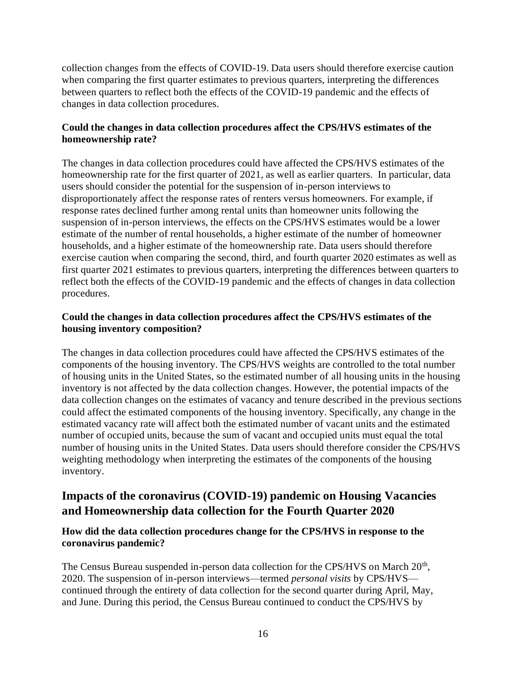collection changes from the effects of COVID-19. Data users should therefore exercise caution when comparing the first quarter estimates to previous quarters, interpreting the differences between quarters to reflect both the effects of the COVID-19 pandemic and the effects of changes in data collection procedures.

# **Could the changes in data collection procedures affect the CPS/HVS estimates of the homeownership rate?**

The changes in data collection procedures could have affected the CPS/HVS estimates of the homeownership rate for the first quarter of 2021, as well as earlier quarters. In particular, data users should consider the potential for the suspension of in-person interviews to disproportionately affect the response rates of renters versus homeowners. For example, if response rates declined further among rental units than homeowner units following the suspension of in-person interviews, the effects on the CPS/HVS estimates would be a lower estimate of the number of rental households, a higher estimate of the number of homeowner households, and a higher estimate of the homeownership rate. Data users should therefore exercise caution when comparing the second, third, and fourth quarter 2020 estimates as well as first quarter 2021 estimates to previous quarters, interpreting the differences between quarters to reflect both the effects of the COVID-19 pandemic and the effects of changes in data collection procedures.

# **Could the changes in data collection procedures affect the CPS/HVS estimates of the housing inventory composition?**

The changes in data collection procedures could have affected the CPS/HVS estimates of the components of the housing inventory. The CPS/HVS weights are controlled to the total number of housing units in the United States, so the estimated number of all housing units in the housing inventory is not affected by the data collection changes. However, the potential impacts of the data collection changes on the estimates of vacancy and tenure described in the previous sections could affect the estimated components of the housing inventory. Specifically, any change in the estimated vacancy rate will affect both the estimated number of vacant units and the estimated number of occupied units, because the sum of vacant and occupied units must equal the total number of housing units in the United States. Data users should therefore consider the CPS/HVS weighting methodology when interpreting the estimates of the components of the housing inventory.

# **Impacts of the coronavirus (COVID-19) pandemic on Housing Vacancies and Homeownership data collection for the Fourth Quarter 2020**

# **How did the data collection procedures change for the CPS/HVS in response to the coronavirus pandemic?**

The Census Bureau suspended in-person data collection for the CPS/HVS on March 20<sup>th</sup>, 2020. The suspension of in-person interviews—termed *personal visits* by CPS/HVS continued through the entirety of data collection for the second quarter during April, May, and June. During this period, the Census Bureau continued to conduct the CPS/HVS by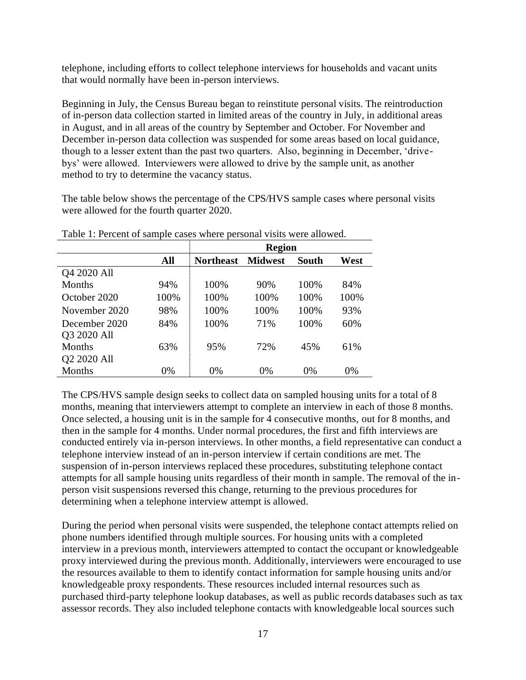telephone, including efforts to collect telephone interviews for households and vacant units that would normally have been in-person interviews.

Beginning in July, the Census Bureau began to reinstitute personal visits. The reintroduction of in-person data collection started in limited areas of the country in July, in additional areas in August, and in all areas of the country by September and October. For November and December in-person data collection was suspended for some areas based on local guidance, though to a lesser extent than the past two quarters. Also, beginning in December, 'drivebys' were allowed. Interviewers were allowed to drive by the sample unit, as another method to try to determine the vacancy status.

The table below shows the percentage of the CPS/HVS sample cases where personal visits were allowed for the fourth quarter 2020.

| Tuble 1. I cleant of sumple eases where personal visits were allowed. |      |                  |                |       |      |  |
|-----------------------------------------------------------------------|------|------------------|----------------|-------|------|--|
|                                                                       |      | <b>Region</b>    |                |       |      |  |
|                                                                       | All  | <b>Northeast</b> | <b>Midwest</b> | South | West |  |
| Q4 2020 All                                                           |      |                  |                |       |      |  |
| Months                                                                | 94%  | 100%             | 90%            | 100%  | 84%  |  |
| October 2020                                                          | 100% | 100%             | 100%           | 100%  | 100% |  |
| November 2020                                                         | 98%  | 100%             | 100%           | 100%  | 93%  |  |
| December 2020                                                         | 84%  | 100%             | 71%            | 100%  | 60%  |  |
| Q3 2020 All                                                           |      |                  |                |       |      |  |
| Months                                                                | 63%  | 95%              | 72%            | 45%   | 61%  |  |
| Q2 2020 All                                                           |      |                  |                |       |      |  |
| Months                                                                | 0%   | 0%               | 0%             | 0%    | 0%   |  |

Table 1: Percent of sample cases where personal visits were allowed.

The CPS/HVS sample design seeks to collect data on sampled housing units for a total of 8 months, meaning that interviewers attempt to complete an interview in each of those 8 months. Once selected, a housing unit is in the sample for 4 consecutive months, out for 8 months, and then in the sample for 4 months. Under normal procedures, the first and fifth interviews are conducted entirely via in-person interviews. In other months, a field representative can conduct a telephone interview instead of an in-person interview if certain conditions are met. The suspension of in-person interviews replaced these procedures, substituting telephone contact attempts for all sample housing units regardless of their month in sample. The removal of the inperson visit suspensions reversed this change, returning to the previous procedures for determining when a telephone interview attempt is allowed.

During the period when personal visits were suspended, the telephone contact attempts relied on phone numbers identified through multiple sources. For housing units with a completed interview in a previous month, interviewers attempted to contact the occupant or knowledgeable proxy interviewed during the previous month. Additionally, interviewers were encouraged to use the resources available to them to identify contact information for sample housing units and/or knowledgeable proxy respondents. These resources included internal resources such as purchased third-party telephone lookup databases, as well as public records databases such as tax assessor records. They also included telephone contacts with knowledgeable local sources such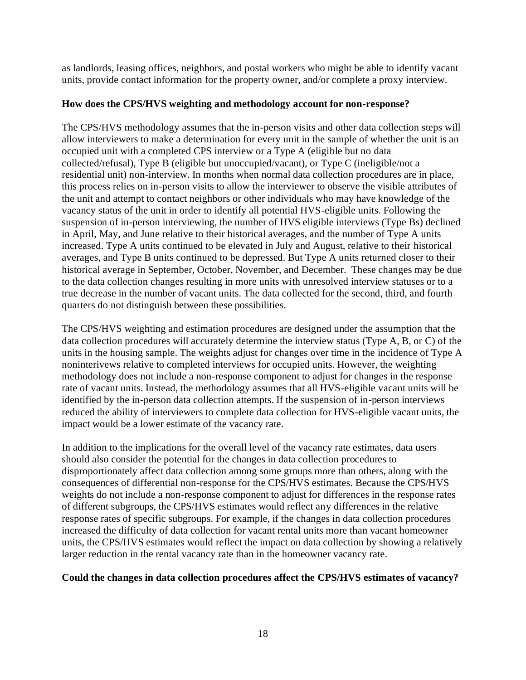as landlords, leasing offices, neighbors, and postal workers who might be able to identify vacant units, provide contact information for the property owner, and/or complete a proxy interview.

## **How does the CPS/HVS weighting and methodology account for non-response?**

The CPS/HVS methodology assumes that the in-person visits and other data collection steps will allow interviewers to make a determination for every unit in the sample of whether the unit is an occupied unit with a completed CPS interview or a Type A (eligible but no data collected/refusal), Type B (eligible but unoccupied/vacant), or Type C (ineligible/not a residential unit) non-interview. In months when normal data collection procedures are in place, this process relies on in-person visits to allow the interviewer to observe the visible attributes of the unit and attempt to contact neighbors or other individuals who may have knowledge of the vacancy status of the unit in order to identify all potential HVS-eligible units. Following the suspension of in-person interviewing, the number of HVS eligible interviews (Type Bs) declined in April, May, and June relative to their historical averages, and the number of Type A units increased. Type A units continued to be elevated in July and August, relative to their historical averages, and Type B units continued to be depressed. But Type A units returned closer to their historical average in September, October, November, and December. These changes may be due to the data collection changes resulting in more units with unresolved interview statuses or to a true decrease in the number of vacant units. The data collected for the second, third, and fourth quarters do not distinguish between these possibilities.

The CPS/HVS weighting and estimation procedures are designed under the assumption that the data collection procedures will accurately determine the interview status (Type A, B, or C) of the units in the housing sample. The weights adjust for changes over time in the incidence of Type A noninterivews relative to completed interviews for occupied units. However, the weighting methodology does not include a non-response component to adjust for changes in the response rate of vacant units. Instead, the methodology assumes that all HVS-eligible vacant units will be identified by the in-person data collection attempts. If the suspension of in-person interviews reduced the ability of interviewers to complete data collection for HVS-eligible vacant units, the impact would be a lower estimate of the vacancy rate.

In addition to the implications for the overall level of the vacancy rate estimates, data users should also consider the potential for the changes in data collection procedures to disproportionately affect data collection among some groups more than others, along with the consequences of differential non-response for the CPS/HVS estimates. Because the CPS/HVS weights do not include a non-response component to adjust for differences in the response rates of different subgroups, the CPS/HVS estimates would reflect any differences in the relative response rates of specific subgroups. For example, if the changes in data collection procedures increased the difficulty of data collection for vacant rental units more than vacant homeowner units, the CPS/HVS estimates would reflect the impact on data collection by showing a relatively larger reduction in the rental vacancy rate than in the homeowner vacancy rate.

# **Could the changes in data collection procedures affect the CPS/HVS estimates of vacancy?**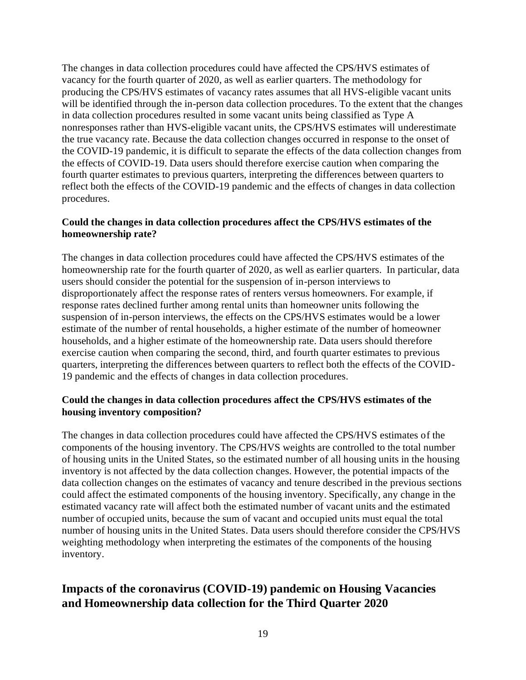The changes in data collection procedures could have affected the CPS/HVS estimates of vacancy for the fourth quarter of 2020, as well as earlier quarters. The methodology for producing the CPS/HVS estimates of vacancy rates assumes that all HVS-eligible vacant units will be identified through the in-person data collection procedures. To the extent that the changes in data collection procedures resulted in some vacant units being classified as Type A nonresponses rather than HVS-eligible vacant units, the CPS/HVS estimates will underestimate the true vacancy rate. Because the data collection changes occurred in response to the onset of the COVID-19 pandemic, it is difficult to separate the effects of the data collection changes from the effects of COVID-19. Data users should therefore exercise caution when comparing the fourth quarter estimates to previous quarters, interpreting the differences between quarters to reflect both the effects of the COVID-19 pandemic and the effects of changes in data collection procedures.

# **Could the changes in data collection procedures affect the CPS/HVS estimates of the homeownership rate?**

The changes in data collection procedures could have affected the CPS/HVS estimates of the homeownership rate for the fourth quarter of 2020, as well as earlier quarters. In particular, data users should consider the potential for the suspension of in-person interviews to disproportionately affect the response rates of renters versus homeowners. For example, if response rates declined further among rental units than homeowner units following the suspension of in-person interviews, the effects on the CPS/HVS estimates would be a lower estimate of the number of rental households, a higher estimate of the number of homeowner households, and a higher estimate of the homeownership rate. Data users should therefore exercise caution when comparing the second, third, and fourth quarter estimates to previous quarters, interpreting the differences between quarters to reflect both the effects of the COVID-19 pandemic and the effects of changes in data collection procedures.

# **Could the changes in data collection procedures affect the CPS/HVS estimates of the housing inventory composition?**

The changes in data collection procedures could have affected the CPS/HVS estimates of the components of the housing inventory. The CPS/HVS weights are controlled to the total number of housing units in the United States, so the estimated number of all housing units in the housing inventory is not affected by the data collection changes. However, the potential impacts of the data collection changes on the estimates of vacancy and tenure described in the previous sections could affect the estimated components of the housing inventory. Specifically, any change in the estimated vacancy rate will affect both the estimated number of vacant units and the estimated number of occupied units, because the sum of vacant and occupied units must equal the total number of housing units in the United States. Data users should therefore consider the CPS/HVS weighting methodology when interpreting the estimates of the components of the housing inventory.

# **Impacts of the coronavirus (COVID-19) pandemic on Housing Vacancies and Homeownership data collection for the Third Quarter 2020**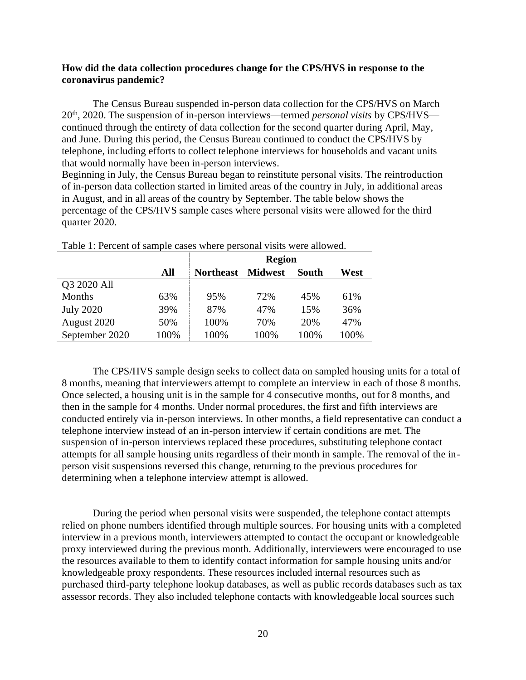## **How did the data collection procedures change for the CPS/HVS in response to the coronavirus pandemic?**

The Census Bureau suspended in-person data collection for the CPS/HVS on March 20th, 2020. The suspension of in-person interviews—termed *personal visits* by CPS/HVS continued through the entirety of data collection for the second quarter during April, May, and June. During this period, the Census Bureau continued to conduct the CPS/HVS by telephone, including efforts to collect telephone interviews for households and vacant units that would normally have been in-person interviews.

Beginning in July, the Census Bureau began to reinstitute personal visits. The reintroduction of in-person data collection started in limited areas of the country in July, in additional areas in August, and in all areas of the country by September. The table below shows the percentage of the CPS/HVS sample cases where personal visits were allowed for the third quarter 2020.

|                  |      | <b>Region</b>    |                |       |      |  |  |
|------------------|------|------------------|----------------|-------|------|--|--|
|                  | All  | <b>Northeast</b> | <b>Midwest</b> | South | West |  |  |
| Q3 2020 All      |      |                  |                |       |      |  |  |
| Months           | 63%  | 95%              | 72%            | 45%   | 61%  |  |  |
| <b>July 2020</b> | 39%  | 87%              | 47%            | 15%   | 36%  |  |  |
| August 2020      | 50%  | 100%             | 70%            | 20%   | 47%  |  |  |
| September 2020   | 100% | 100%             | 100%           | 100%  | 100% |  |  |

Table 1: Percent of sample cases where personal visits were allowed.

The CPS/HVS sample design seeks to collect data on sampled housing units for a total of 8 months, meaning that interviewers attempt to complete an interview in each of those 8 months. Once selected, a housing unit is in the sample for 4 consecutive months, out for 8 months, and then in the sample for 4 months. Under normal procedures, the first and fifth interviews are conducted entirely via in-person interviews. In other months, a field representative can conduct a telephone interview instead of an in-person interview if certain conditions are met. The suspension of in-person interviews replaced these procedures, substituting telephone contact attempts for all sample housing units regardless of their month in sample. The removal of the inperson visit suspensions reversed this change, returning to the previous procedures for determining when a telephone interview attempt is allowed.

During the period when personal visits were suspended, the telephone contact attempts relied on phone numbers identified through multiple sources. For housing units with a completed interview in a previous month, interviewers attempted to contact the occupant or knowledgeable proxy interviewed during the previous month. Additionally, interviewers were encouraged to use the resources available to them to identify contact information for sample housing units and/or knowledgeable proxy respondents. These resources included internal resources such as purchased third-party telephone lookup databases, as well as public records databases such as tax assessor records. They also included telephone contacts with knowledgeable local sources such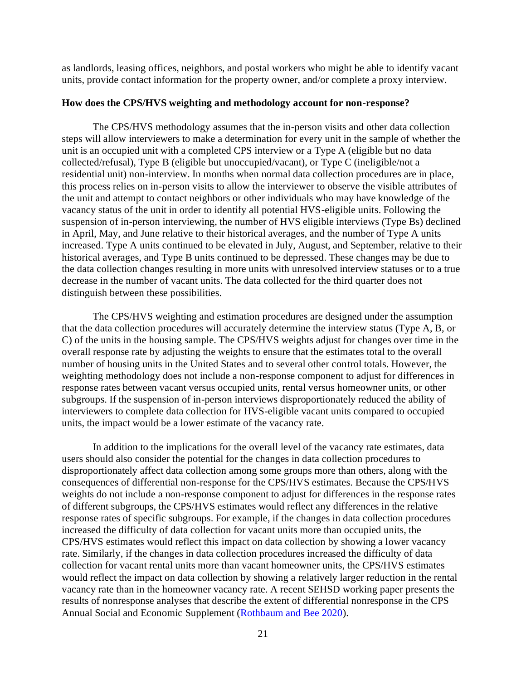as landlords, leasing offices, neighbors, and postal workers who might be able to identify vacant units, provide contact information for the property owner, and/or complete a proxy interview.

### **How does the CPS/HVS weighting and methodology account for non-response?**

The CPS/HVS methodology assumes that the in-person visits and other data collection steps will allow interviewers to make a determination for every unit in the sample of whether the unit is an occupied unit with a completed CPS interview or a Type A (eligible but no data collected/refusal), Type B (eligible but unoccupied/vacant), or Type C (ineligible/not a residential unit) non-interview. In months when normal data collection procedures are in place, this process relies on in-person visits to allow the interviewer to observe the visible attributes of the unit and attempt to contact neighbors or other individuals who may have knowledge of the vacancy status of the unit in order to identify all potential HVS-eligible units. Following the suspension of in-person interviewing, the number of HVS eligible interviews (Type Bs) declined in April, May, and June relative to their historical averages, and the number of Type A units increased. Type A units continued to be elevated in July, August, and September, relative to their historical averages, and Type B units continued to be depressed. These changes may be due to the data collection changes resulting in more units with unresolved interview statuses or to a true decrease in the number of vacant units. The data collected for the third quarter does not distinguish between these possibilities.

The CPS/HVS weighting and estimation procedures are designed under the assumption that the data collection procedures will accurately determine the interview status (Type A, B, or C) of the units in the housing sample. The CPS/HVS weights adjust for changes over time in the overall response rate by adjusting the weights to ensure that the estimates total to the overall number of housing units in the United States and to several other control totals. However, the weighting methodology does not include a non-response component to adjust for differences in response rates between vacant versus occupied units, rental versus homeowner units, or other subgroups. If the suspension of in-person interviews disproportionately reduced the ability of interviewers to complete data collection for HVS-eligible vacant units compared to occupied units, the impact would be a lower estimate of the vacancy rate.

In addition to the implications for the overall level of the vacancy rate estimates, data users should also consider the potential for the changes in data collection procedures to disproportionately affect data collection among some groups more than others, along with the consequences of differential non-response for the CPS/HVS estimates. Because the CPS/HVS weights do not include a non-response component to adjust for differences in the response rates of different subgroups, the CPS/HVS estimates would reflect any differences in the relative response rates of specific subgroups. For example, if the changes in data collection procedures increased the difficulty of data collection for vacant units more than occupied units, the CPS/HVS estimates would reflect this impact on data collection by showing a lower vacancy rate. Similarly, if the changes in data collection procedures increased the difficulty of data collection for vacant rental units more than vacant homeowner units, the CPS/HVS estimates would reflect the impact on data collection by showing a relatively larger reduction in the rental vacancy rate than in the homeowner vacancy rate. A recent SEHSD working paper presents the results of nonresponse analyses that describe the extent of differential nonresponse in the CPS Annual Social and Economic Supplement [\(Rothbaum and Bee 2020\)](https://www.census.gov/library/working-papers/2020/demo/SEHSD-WP2020-10.html).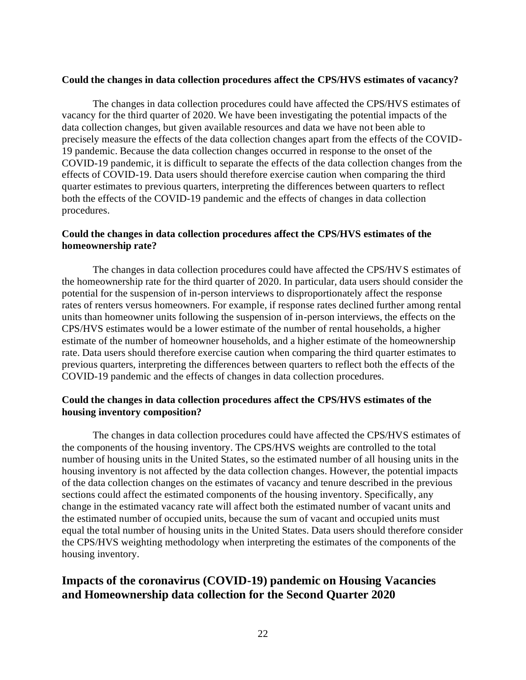## **Could the changes in data collection procedures affect the CPS/HVS estimates of vacancy?**

The changes in data collection procedures could have affected the CPS/HVS estimates of vacancy for the third quarter of 2020. We have been investigating the potential impacts of the data collection changes, but given available resources and data we have not been able to precisely measure the effects of the data collection changes apart from the effects of the COVID-19 pandemic. Because the data collection changes occurred in response to the onset of the COVID-19 pandemic, it is difficult to separate the effects of the data collection changes from the effects of COVID-19. Data users should therefore exercise caution when comparing the third quarter estimates to previous quarters, interpreting the differences between quarters to reflect both the effects of the COVID-19 pandemic and the effects of changes in data collection procedures.

## **Could the changes in data collection procedures affect the CPS/HVS estimates of the homeownership rate?**

The changes in data collection procedures could have affected the CPS/HVS estimates of the homeownership rate for the third quarter of 2020. In particular, data users should consider the potential for the suspension of in-person interviews to disproportionately affect the response rates of renters versus homeowners. For example, if response rates declined further among rental units than homeowner units following the suspension of in-person interviews, the effects on the CPS/HVS estimates would be a lower estimate of the number of rental households, a higher estimate of the number of homeowner households, and a higher estimate of the homeownership rate. Data users should therefore exercise caution when comparing the third quarter estimates to previous quarters, interpreting the differences between quarters to reflect both the effects of the COVID-19 pandemic and the effects of changes in data collection procedures.

## **Could the changes in data collection procedures affect the CPS/HVS estimates of the housing inventory composition?**

The changes in data collection procedures could have affected the CPS/HVS estimates of the components of the housing inventory. The CPS/HVS weights are controlled to the total number of housing units in the United States, so the estimated number of all housing units in the housing inventory is not affected by the data collection changes. However, the potential impacts of the data collection changes on the estimates of vacancy and tenure described in the previous sections could affect the estimated components of the housing inventory. Specifically, any change in the estimated vacancy rate will affect both the estimated number of vacant units and the estimated number of occupied units, because the sum of vacant and occupied units must equal the total number of housing units in the United States. Data users should therefore consider the CPS/HVS weighting methodology when interpreting the estimates of the components of the housing inventory.

# **Impacts of the coronavirus (COVID-19) pandemic on Housing Vacancies and Homeownership data collection for the Second Quarter 2020**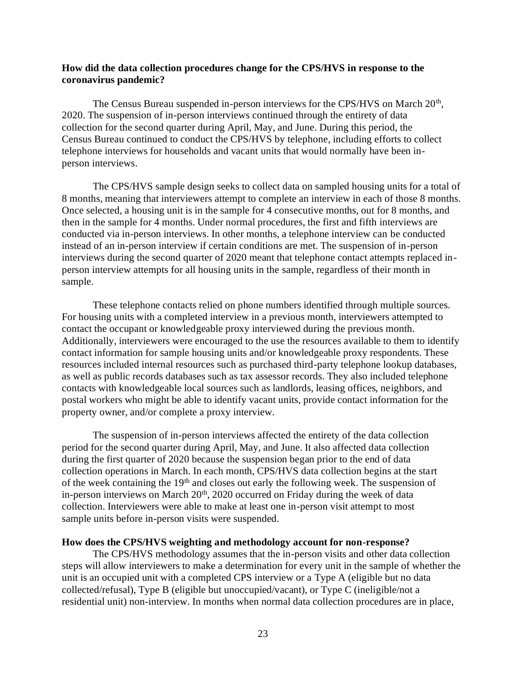## **How did the data collection procedures change for the CPS/HVS in response to the coronavirus pandemic?**

The Census Bureau suspended in-person interviews for the CPS/HVS on March 20<sup>th</sup>, 2020. The suspension of in-person interviews continued through the entirety of data collection for the second quarter during April, May, and June. During this period, the Census Bureau continued to conduct the CPS/HVS by telephone, including efforts to collect telephone interviews for households and vacant units that would normally have been inperson interviews.

The CPS/HVS sample design seeks to collect data on sampled housing units for a total of 8 months, meaning that interviewers attempt to complete an interview in each of those 8 months. Once selected, a housing unit is in the sample for 4 consecutive months, out for 8 months, and then in the sample for 4 months. Under normal procedures, the first and fifth interviews are conducted via in-person interviews. In other months, a telephone interview can be conducted instead of an in-person interview if certain conditions are met. The suspension of in-person interviews during the second quarter of 2020 meant that telephone contact attempts replaced inperson interview attempts for all housing units in the sample, regardless of their month in sample.

These telephone contacts relied on phone numbers identified through multiple sources. For housing units with a completed interview in a previous month, interviewers attempted to contact the occupant or knowledgeable proxy interviewed during the previous month. Additionally, interviewers were encouraged to the use the resources available to them to identify contact information for sample housing units and/or knowledgeable proxy respondents. These resources included internal resources such as purchased third-party telephone lookup databases, as well as public records databases such as tax assessor records. They also included telephone contacts with knowledgeable local sources such as landlords, leasing offices, neighbors, and postal workers who might be able to identify vacant units, provide contact information for the property owner, and/or complete a proxy interview.

The suspension of in-person interviews affected the entirety of the data collection period for the second quarter during April, May, and June. It also affected data collection during the first quarter of 2020 because the suspension began prior to the end of data collection operations in March. In each month, CPS/HVS data collection begins at the start of the week containing the 19<sup>th</sup> and closes out early the following week. The suspension of in-person interviews on March 20<sup>th</sup>, 2020 occurred on Friday during the week of data collection. Interviewers were able to make at least one in-person visit attempt to most sample units before in-person visits were suspended.

#### **How does the CPS/HVS weighting and methodology account for non-response?**

The CPS/HVS methodology assumes that the in-person visits and other data collection steps will allow interviewers to make a determination for every unit in the sample of whether the unit is an occupied unit with a completed CPS interview or a Type A (eligible but no data collected/refusal), Type B (eligible but unoccupied/vacant), or Type C (ineligible/not a residential unit) non-interview. In months when normal data collection procedures are in place,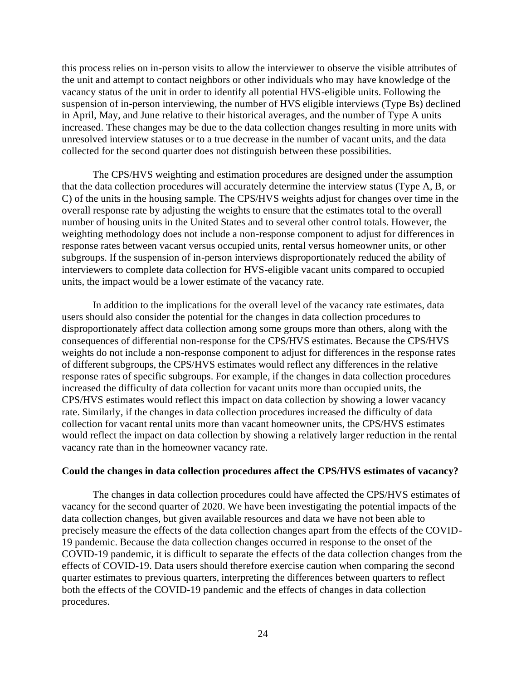this process relies on in-person visits to allow the interviewer to observe the visible attributes of the unit and attempt to contact neighbors or other individuals who may have knowledge of the vacancy status of the unit in order to identify all potential HVS-eligible units. Following the suspension of in-person interviewing, the number of HVS eligible interviews (Type Bs) declined in April, May, and June relative to their historical averages, and the number of Type A units increased. These changes may be due to the data collection changes resulting in more units with unresolved interview statuses or to a true decrease in the number of vacant units, and the data collected for the second quarter does not distinguish between these possibilities.

The CPS/HVS weighting and estimation procedures are designed under the assumption that the data collection procedures will accurately determine the interview status (Type A, B, or C) of the units in the housing sample. The CPS/HVS weights adjust for changes over time in the overall response rate by adjusting the weights to ensure that the estimates total to the overall number of housing units in the United States and to several other control totals. However, the weighting methodology does not include a non-response component to adjust for differences in response rates between vacant versus occupied units, rental versus homeowner units, or other subgroups. If the suspension of in-person interviews disproportionately reduced the ability of interviewers to complete data collection for HVS-eligible vacant units compared to occupied units, the impact would be a lower estimate of the vacancy rate.

In addition to the implications for the overall level of the vacancy rate estimates, data users should also consider the potential for the changes in data collection procedures to disproportionately affect data collection among some groups more than others, along with the consequences of differential non-response for the CPS/HVS estimates. Because the CPS/HVS weights do not include a non-response component to adjust for differences in the response rates of different subgroups, the CPS/HVS estimates would reflect any differences in the relative response rates of specific subgroups. For example, if the changes in data collection procedures increased the difficulty of data collection for vacant units more than occupied units, the CPS/HVS estimates would reflect this impact on data collection by showing a lower vacancy rate. Similarly, if the changes in data collection procedures increased the difficulty of data collection for vacant rental units more than vacant homeowner units, the CPS/HVS estimates would reflect the impact on data collection by showing a relatively larger reduction in the rental vacancy rate than in the homeowner vacancy rate.

#### **Could the changes in data collection procedures affect the CPS/HVS estimates of vacancy?**

The changes in data collection procedures could have affected the CPS/HVS estimates of vacancy for the second quarter of 2020. We have been investigating the potential impacts of the data collection changes, but given available resources and data we have not been able to precisely measure the effects of the data collection changes apart from the effects of the COVID-19 pandemic. Because the data collection changes occurred in response to the onset of the COVID-19 pandemic, it is difficult to separate the effects of the data collection changes from the effects of COVID-19. Data users should therefore exercise caution when comparing the second quarter estimates to previous quarters, interpreting the differences between quarters to reflect both the effects of the COVID-19 pandemic and the effects of changes in data collection procedures.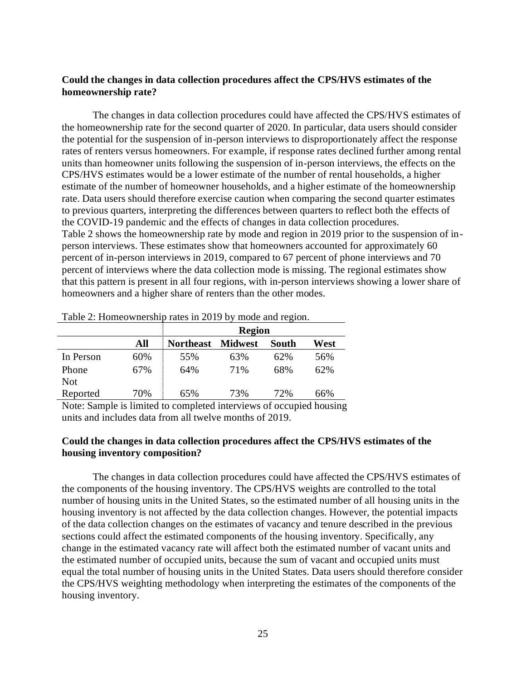## **Could the changes in data collection procedures affect the CPS/HVS estimates of the homeownership rate?**

The changes in data collection procedures could have affected the CPS/HVS estimates of the homeownership rate for the second quarter of 2020. In particular, data users should consider the potential for the suspension of in-person interviews to disproportionately affect the response rates of renters versus homeowners. For example, if response rates declined further among rental units than homeowner units following the suspension of in-person interviews, the effects on the CPS/HVS estimates would be a lower estimate of the number of rental households, a higher estimate of the number of homeowner households, and a higher estimate of the homeownership rate. Data users should therefore exercise caution when comparing the second quarter estimates to previous quarters, interpreting the differences between quarters to reflect both the effects of the COVID-19 pandemic and the effects of changes in data collection procedures. Table 2 shows the homeownership rate by mode and region in 2019 prior to the suspension of inperson interviews. These estimates show that homeowners accounted for approximately 60 percent of in-person interviews in 2019, compared to 67 percent of phone interviews and 70 percent of interviews where the data collection mode is missing. The regional estimates show that this pattern is present in all four regions, with in-person interviews showing a lower share of homeowners and a higher share of renters than the other modes.

|                        |     | <b>Region</b>    |                                            |              |      |  |  |
|------------------------|-----|------------------|--------------------------------------------|--------------|------|--|--|
|                        | All | <b>Northeast</b> | <b>Midwest</b>                             | <b>South</b> | West |  |  |
| In Person              | 60% | 55%              | 63%                                        | 62%          | 56%  |  |  |
| Phone                  | 67% | 64%              | 71%                                        | 68%          | 62%  |  |  |
| <b>Not</b>             |     |                  |                                            |              |      |  |  |
| Reported               | 70% | 65%              | 73%                                        | 72%          | 66%  |  |  |
| $\sim$<br>$\mathbf{X}$ |     |                  | $\mathbf{1}$ , $\mathbf{1}$ , $\mathbf{1}$ |              | 11   |  |  |

Table 2: Homeownership rates in 2019 by mode and region.

Note: Sample is limited to completed interviews of occupied housing units and includes data from all twelve months of 2019.

## **Could the changes in data collection procedures affect the CPS/HVS estimates of the housing inventory composition?**

The changes in data collection procedures could have affected the CPS/HVS estimates of the components of the housing inventory. The CPS/HVS weights are controlled to the total number of housing units in the United States, so the estimated number of all housing units in the housing inventory is not affected by the data collection changes. However, the potential impacts of the data collection changes on the estimates of vacancy and tenure described in the previous sections could affect the estimated components of the housing inventory. Specifically, any change in the estimated vacancy rate will affect both the estimated number of vacant units and the estimated number of occupied units, because the sum of vacant and occupied units must equal the total number of housing units in the United States. Data users should therefore consider the CPS/HVS weighting methodology when interpreting the estimates of the components of the housing inventory.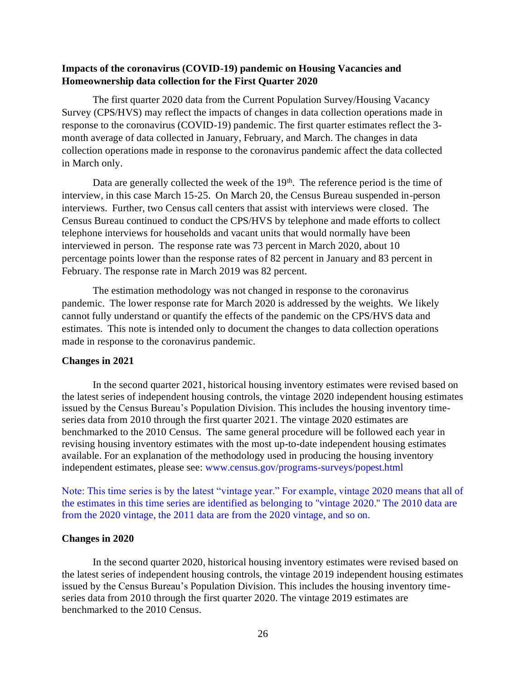## **Impacts of the coronavirus (COVID-19) pandemic on Housing Vacancies and Homeownership data collection for the First Quarter 2020**

The first quarter 2020 data from the Current Population Survey/Housing Vacancy Survey (CPS/HVS) may reflect the impacts of changes in data collection operations made in response to the coronavirus (COVID-19) pandemic. The first quarter estimates reflect the 3 month average of data collected in January, February, and March. The changes in data collection operations made in response to the coronavirus pandemic affect the data collected in March only.

Data are generally collected the week of the  $19<sup>th</sup>$ . The reference period is the time of interview, in this case March 15-25. On March 20, the Census Bureau suspended in-person interviews. Further, two Census call centers that assist with interviews were closed. The Census Bureau continued to conduct the CPS/HVS by telephone and made efforts to collect telephone interviews for households and vacant units that would normally have been interviewed in person. The response rate was 73 percent in March 2020, about 10 percentage points lower than the response rates of 82 percent in January and 83 percent in February. The response rate in March 2019 was 82 percent.

The estimation methodology was not changed in response to the coronavirus pandemic. The lower response rate for March 2020 is addressed by the weights. We likely cannot fully understand or quantify the effects of the pandemic on the CPS/HVS data and estimates. This note is intended only to document the changes to data collection operations made in response to the coronavirus pandemic.

## **Changes in 2021**

In the second quarter 2021, historical housing inventory estimates were revised based on the latest series of independent housing controls, the vintage 2020 independent housing estimates issued by the Census Bureau's Population Division. This includes the housing inventory timeseries data from 2010 through the first quarter 2021. The vintage 2020 estimates are benchmarked to the 2010 Census. The same general procedure will be followed each year in revising housing inventory estimates with the most up-to-date independent housing estimates available. For an explanation of the methodology used in producing the housing inventory independent estimates, please see: www.census.gov/programs-surveys/popest.html

Note: This time series is by the latest "vintage year." For example, vintage 2020 means that all of the estimates in this time series are identified as belonging to "vintage 2020." The 2010 data are from the 2020 vintage, the 2011 data are from the 2020 vintage, and so on.

## **Changes in 2020**

In the second quarter 2020, historical housing inventory estimates were revised based on the latest series of independent housing controls, the vintage 2019 independent housing estimates issued by the Census Bureau's Population Division. This includes the housing inventory timeseries data from 2010 through the first quarter 2020. The vintage 2019 estimates are benchmarked to the 2010 Census.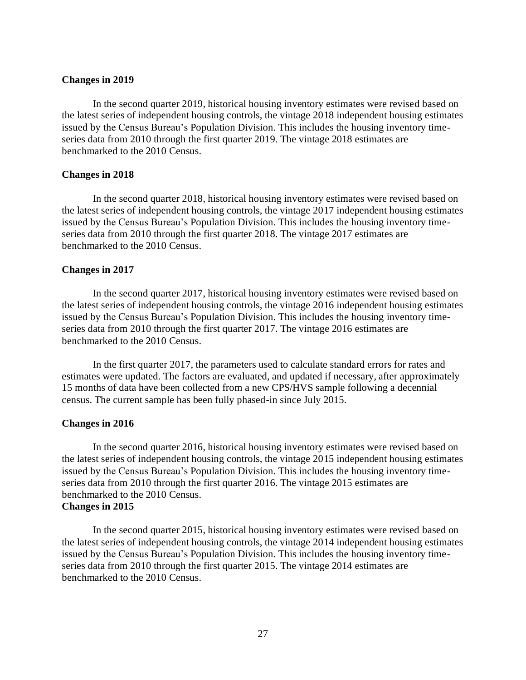### **Changes in 2019**

In the second quarter 2019, historical housing inventory estimates were revised based on the latest series of independent housing controls, the vintage 2018 independent housing estimates issued by the Census Bureau's Population Division. This includes the housing inventory timeseries data from 2010 through the first quarter 2019. The vintage 2018 estimates are benchmarked to the 2010 Census.

### **Changes in 2018**

In the second quarter 2018, historical housing inventory estimates were revised based on the latest series of independent housing controls, the vintage 2017 independent housing estimates issued by the Census Bureau's Population Division. This includes the housing inventory timeseries data from 2010 through the first quarter 2018. The vintage 2017 estimates are benchmarked to the 2010 Census.

### **Changes in 2017**

In the second quarter 2017, historical housing inventory estimates were revised based on the latest series of independent housing controls, the vintage 2016 independent housing estimates issued by the Census Bureau's Population Division. This includes the housing inventory timeseries data from 2010 through the first quarter 2017. The vintage 2016 estimates are benchmarked to the 2010 Census.

In the first quarter 2017, the parameters used to calculate standard errors for rates and estimates were updated. The factors are evaluated, and updated if necessary, after approximately 15 months of data have been collected from a new CPS/HVS sample following a decennial census. The current sample has been fully phased-in since July 2015.

#### **Changes in 2016**

In the second quarter 2016, historical housing inventory estimates were revised based on the latest series of independent housing controls, the vintage 2015 independent housing estimates issued by the Census Bureau's Population Division. This includes the housing inventory timeseries data from 2010 through the first quarter 2016. The vintage 2015 estimates are benchmarked to the 2010 Census. **Changes in 2015**

In the second quarter 2015, historical housing inventory estimates were revised based on the latest series of independent housing controls, the vintage 2014 independent housing estimates issued by the Census Bureau's Population Division. This includes the housing inventory timeseries data from 2010 through the first quarter 2015. The vintage 2014 estimates are benchmarked to the 2010 Census.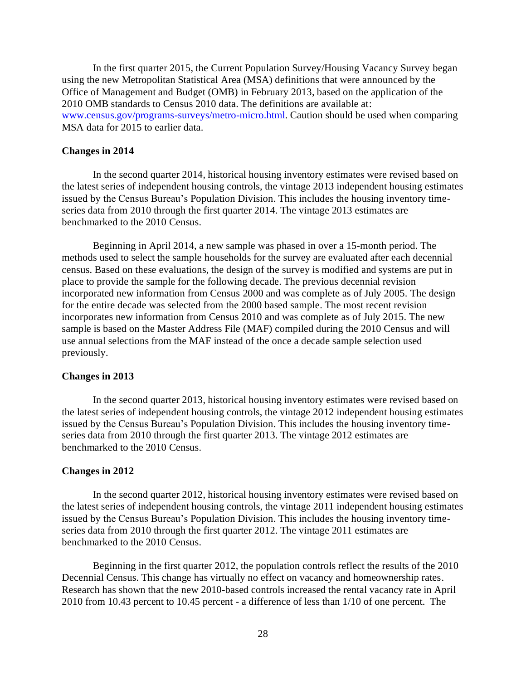In the first quarter 2015, the Current Population Survey/Housing Vacancy Survey began using the new Metropolitan Statistical Area (MSA) definitions that were announced by the Office of Management and Budget (OMB) in February 2013, based on the application of the 2010 OMB standards to Census 2010 data. The definitions are available at: www.census.gov/programs-surveys/metro-micro.html. Caution should be used when comparing MSA data for 2015 to earlier data.

### **Changes in 2014**

In the second quarter 2014, historical housing inventory estimates were revised based on the latest series of independent housing controls, the vintage 2013 independent housing estimates issued by the Census Bureau's Population Division. This includes the housing inventory timeseries data from 2010 through the first quarter 2014. The vintage 2013 estimates are benchmarked to the 2010 Census.

Beginning in April 2014, a new sample was phased in over a 15-month period. The methods used to select the sample households for the survey are evaluated after each decennial census. Based on these evaluations, the design of the survey is modified and systems are put in place to provide the sample for the following decade. The previous decennial revision incorporated new information from Census 2000 and was complete as of July 2005. The design for the entire decade was selected from the 2000 based sample. The most recent revision incorporates new information from Census 2010 and was complete as of July 2015. The new sample is based on the Master Address File (MAF) compiled during the 2010 Census and will use annual selections from the MAF instead of the once a decade sample selection used previously.

#### **Changes in 2013**

In the second quarter 2013, historical housing inventory estimates were revised based on the latest series of independent housing controls, the vintage 2012 independent housing estimates issued by the Census Bureau's Population Division. This includes the housing inventory timeseries data from 2010 through the first quarter 2013. The vintage 2012 estimates are benchmarked to the 2010 Census.

#### **Changes in 2012**

In the second quarter 2012, historical housing inventory estimates were revised based on the latest series of independent housing controls, the vintage 2011 independent housing estimates issued by the Census Bureau's Population Division. This includes the housing inventory timeseries data from 2010 through the first quarter 2012. The vintage 2011 estimates are benchmarked to the 2010 Census.

Beginning in the first quarter 2012, the population controls reflect the results of the 2010 Decennial Census. This change has virtually no effect on vacancy and homeownership rates. Research has shown that the new 2010-based controls increased the rental vacancy rate in April 2010 from 10.43 percent to 10.45 percent - a difference of less than 1/10 of one percent. The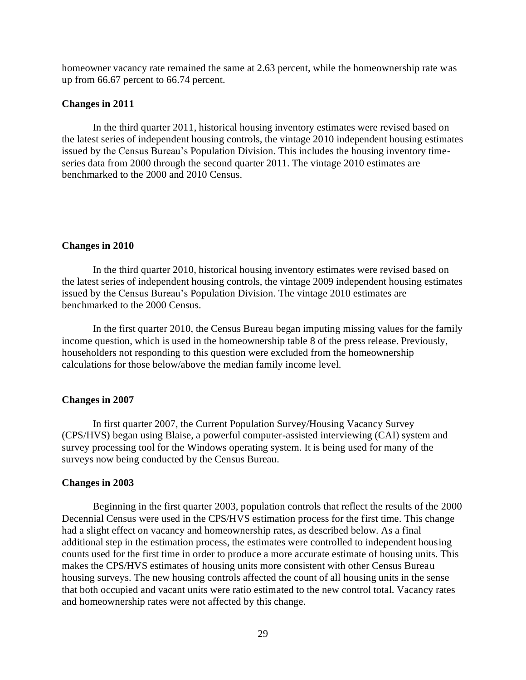homeowner vacancy rate remained the same at 2.63 percent, while the homeownership rate was up from 66.67 percent to 66.74 percent.

### **Changes in 2011**

In the third quarter 2011, historical housing inventory estimates were revised based on the latest series of independent housing controls, the vintage 2010 independent housing estimates issued by the Census Bureau's Population Division. This includes the housing inventory timeseries data from 2000 through the second quarter 2011. The vintage 2010 estimates are benchmarked to the 2000 and 2010 Census.

#### **Changes in 2010**

In the third quarter 2010, historical housing inventory estimates were revised based on the latest series of independent housing controls, the vintage 2009 independent housing estimates issued by the Census Bureau's Population Division. The vintage 2010 estimates are benchmarked to the 2000 Census.

 In the first quarter 2010, the Census Bureau began imputing missing values for the family income question, which is used in the homeownership table 8 of the press release. Previously, householders not responding to this question were excluded from the homeownership calculations for those below/above the median family income level.

#### **Changes in 2007**

In first quarter 2007, the Current Population Survey/Housing Vacancy Survey (CPS/HVS) began using Blaise, a powerful computer-assisted interviewing (CAI) system and survey processing tool for the Windows operating system. It is being used for many of the surveys now being conducted by the Census Bureau.

#### **Changes in 2003**

Beginning in the first quarter 2003, population controls that reflect the results of the 2000 Decennial Census were used in the CPS/HVS estimation process for the first time. This change had a slight effect on vacancy and homeownership rates, as described below. As a final additional step in the estimation process, the estimates were controlled to independent housing counts used for the first time in order to produce a more accurate estimate of housing units. This makes the CPS/HVS estimates of housing units more consistent with other Census Bureau housing surveys. The new housing controls affected the count of all housing units in the sense that both occupied and vacant units were ratio estimated to the new control total. Vacancy rates and homeownership rates were not affected by this change.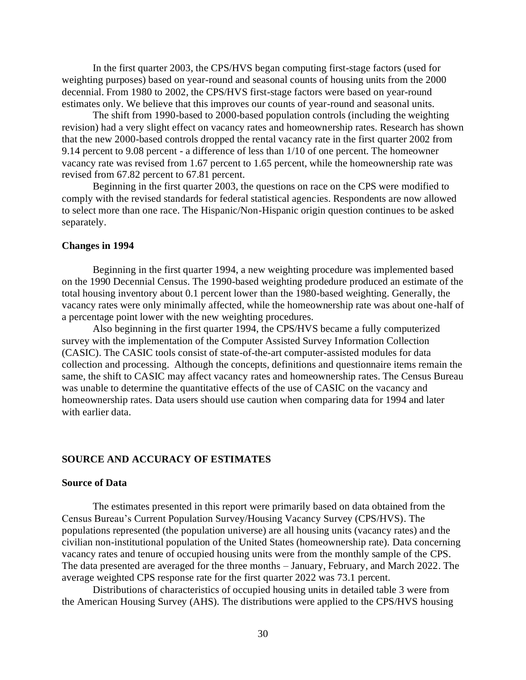In the first quarter 2003, the CPS/HVS began computing first-stage factors (used for weighting purposes) based on year-round and seasonal counts of housing units from the 2000 decennial. From 1980 to 2002, the CPS/HVS first-stage factors were based on year-round estimates only. We believe that this improves our counts of year-round and seasonal units.

The shift from 1990-based to 2000-based population controls (including the weighting revision) had a very slight effect on vacancy rates and homeownership rates. Research has shown that the new 2000-based controls dropped the rental vacancy rate in the first quarter 2002 from 9.14 percent to 9.08 percent - a difference of less than 1/10 of one percent. The homeowner vacancy rate was revised from 1.67 percent to 1.65 percent, while the homeownership rate was revised from 67.82 percent to 67.81 percent.

Beginning in the first quarter 2003, the questions on race on the CPS were modified to comply with the revised standards for federal statistical agencies. Respondents are now allowed to select more than one race. The Hispanic/Non-Hispanic origin question continues to be asked separately.

#### **Changes in 1994**

Beginning in the first quarter 1994, a new weighting procedure was implemented based on the 1990 Decennial Census. The 1990-based weighting prodedure produced an estimate of the total housing inventory about 0.1 percent lower than the 1980-based weighting. Generally, the vacancy rates were only minimally affected, while the homeownership rate was about one-half of a percentage point lower with the new weighting procedures.

Also beginning in the first quarter 1994, the CPS/HVS became a fully computerized survey with the implementation of the Computer Assisted Survey Information Collection (CASIC). The CASIC tools consist of state-of-the-art computer-assisted modules for data collection and processing. Although the concepts, definitions and questionnaire items remain the same, the shift to CASIC may affect vacancy rates and homeownership rates. The Census Bureau was unable to determine the quantitative effects of the use of CASIC on the vacancy and homeownership rates. Data users should use caution when comparing data for 1994 and later with earlier data.

## **SOURCE AND ACCURACY OF ESTIMATES**

#### **Source of Data**

The estimates presented in this report were primarily based on data obtained from the Census Bureau's Current Population Survey/Housing Vacancy Survey (CPS/HVS). The populations represented (the population universe) are all housing units (vacancy rates) and the civilian non-institutional population of the United States (homeownership rate). Data concerning vacancy rates and tenure of occupied housing units were from the monthly sample of the CPS. The data presented are averaged for the three months – January, February, and March 2022. The average weighted CPS response rate for the first quarter 2022 was 73.1 percent.

Distributions of characteristics of occupied housing units in detailed table 3 were from the American Housing Survey (AHS). The distributions were applied to the CPS/HVS housing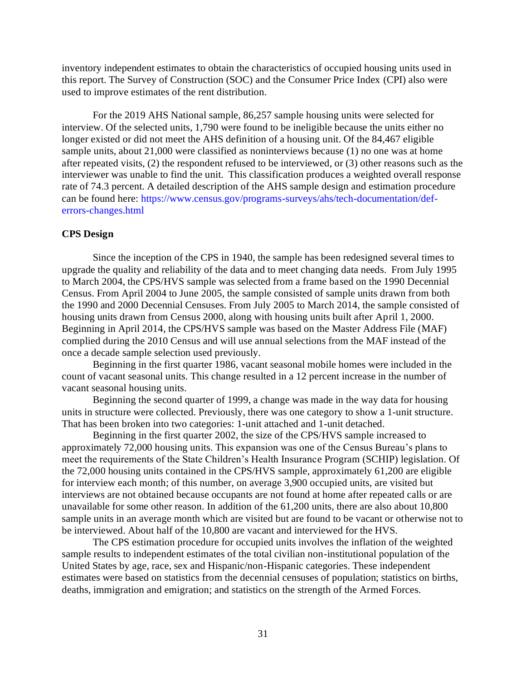inventory independent estimates to obtain the characteristics of occupied housing units used in this report. The Survey of Construction (SOC) and the Consumer Price Index (CPI) also were used to improve estimates of the rent distribution.

For the 2019 AHS National sample, 86,257 sample housing units were selected for interview. Of the selected units, 1,790 were found to be ineligible because the units either no longer existed or did not meet the AHS definition of a housing unit. Of the 84,467 eligible sample units, about 21,000 were classified as noninterviews because (1) no one was at home after repeated visits, (2) the respondent refused to be interviewed, or (3) other reasons such as the interviewer was unable to find the unit. This classification produces a weighted overall response rate of 74.3 percent. A detailed description of the AHS sample design and estimation procedure can be found here: [https://www.census.gov/programs-surveys/ahs/tech-documentation/def](https://www.census.gov/programs-surveys/ahs/tech-documentation/def-errors-changes.html)[errors-changes.html](https://www.census.gov/programs-surveys/ahs/tech-documentation/def-errors-changes.html)

## **CPS Design**

Since the inception of the CPS in 1940, the sample has been redesigned several times to upgrade the quality and reliability of the data and to meet changing data needs. From July 1995 to March 2004, the CPS/HVS sample was selected from a frame based on the 1990 Decennial Census. From April 2004 to June 2005, the sample consisted of sample units drawn from both the 1990 and 2000 Decennial Censuses. From July 2005 to March 2014, the sample consisted of housing units drawn from Census 2000, along with housing units built after April 1, 2000. Beginning in April 2014, the CPS/HVS sample was based on the Master Address File (MAF) complied during the 2010 Census and will use annual selections from the MAF instead of the once a decade sample selection used previously.

Beginning in the first quarter 1986, vacant seasonal mobile homes were included in the count of vacant seasonal units. This change resulted in a 12 percent increase in the number of vacant seasonal housing units.

Beginning the second quarter of 1999, a change was made in the way data for housing units in structure were collected. Previously, there was one category to show a 1-unit structure. That has been broken into two categories: 1-unit attached and 1-unit detached.

Beginning in the first quarter 2002, the size of the CPS/HVS sample increased to approximately 72,000 housing units. This expansion was one of the Census Bureau's plans to meet the requirements of the State Children's Health Insurance Program (SCHIP) legislation. Of the 72,000 housing units contained in the CPS/HVS sample, approximately 61,200 are eligible for interview each month; of this number, on average 3,900 occupied units, are visited but interviews are not obtained because occupants are not found at home after repeated calls or are unavailable for some other reason. In addition of the 61,200 units, there are also about 10,800 sample units in an average month which are visited but are found to be vacant or otherwise not to be interviewed. About half of the 10,800 are vacant and interviewed for the HVS.

The CPS estimation procedure for occupied units involves the inflation of the weighted sample results to independent estimates of the total civilian non-institutional population of the United States by age, race, sex and Hispanic/non-Hispanic categories. These independent estimates were based on statistics from the decennial censuses of population; statistics on births, deaths, immigration and emigration; and statistics on the strength of the Armed Forces.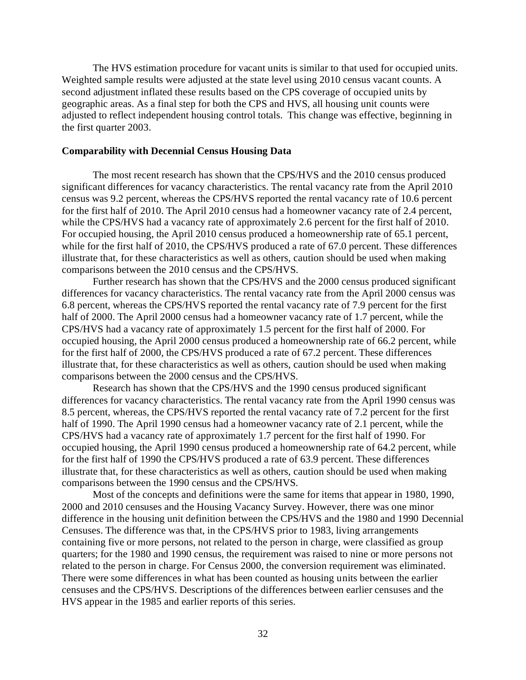The HVS estimation procedure for vacant units is similar to that used for occupied units. Weighted sample results were adjusted at the state level using 2010 census vacant counts. A second adjustment inflated these results based on the CPS coverage of occupied units by geographic areas. As a final step for both the CPS and HVS, all housing unit counts were adjusted to reflect independent housing control totals. This change was effective, beginning in the first quarter 2003.

## **Comparability with Decennial Census Housing Data**

The most recent research has shown that the CPS/HVS and the 2010 census produced significant differences for vacancy characteristics. The rental vacancy rate from the April 2010 census was 9.2 percent, whereas the CPS/HVS reported the rental vacancy rate of 10.6 percent for the first half of 2010. The April 2010 census had a homeowner vacancy rate of 2.4 percent, while the CPS/HVS had a vacancy rate of approximately 2.6 percent for the first half of 2010. For occupied housing, the April 2010 census produced a homeownership rate of 65.1 percent, while for the first half of 2010, the CPS/HVS produced a rate of 67.0 percent. These differences illustrate that, for these characteristics as well as others, caution should be used when making comparisons between the 2010 census and the CPS/HVS.

Further research has shown that the CPS/HVS and the 2000 census produced significant differences for vacancy characteristics. The rental vacancy rate from the April 2000 census was 6.8 percent, whereas the CPS/HVS reported the rental vacancy rate of 7.9 percent for the first half of 2000. The April 2000 census had a homeowner vacancy rate of 1.7 percent, while the CPS/HVS had a vacancy rate of approximately 1.5 percent for the first half of 2000. For occupied housing, the April 2000 census produced a homeownership rate of 66.2 percent, while for the first half of 2000, the CPS/HVS produced a rate of 67.2 percent. These differences illustrate that, for these characteristics as well as others, caution should be used when making comparisons between the 2000 census and the CPS/HVS.

Research has shown that the CPS/HVS and the 1990 census produced significant differences for vacancy characteristics. The rental vacancy rate from the April 1990 census was 8.5 percent, whereas, the CPS/HVS reported the rental vacancy rate of 7.2 percent for the first half of 1990. The April 1990 census had a homeowner vacancy rate of 2.1 percent, while the CPS/HVS had a vacancy rate of approximately 1.7 percent for the first half of 1990. For occupied housing, the April 1990 census produced a homeownership rate of 64.2 percent, while for the first half of 1990 the CPS/HVS produced a rate of 63.9 percent. These differences illustrate that, for these characteristics as well as others, caution should be used when making comparisons between the 1990 census and the CPS/HVS.

Most of the concepts and definitions were the same for items that appear in 1980, 1990, 2000 and 2010 censuses and the Housing Vacancy Survey. However, there was one minor difference in the housing unit definition between the CPS/HVS and the 1980 and 1990 Decennial Censuses. The difference was that, in the CPS/HVS prior to 1983, living arrangements containing five or more persons, not related to the person in charge, were classified as group quarters; for the 1980 and 1990 census, the requirement was raised to nine or more persons not related to the person in charge. For Census 2000, the conversion requirement was eliminated. There were some differences in what has been counted as housing units between the earlier censuses and the CPS/HVS. Descriptions of the differences between earlier censuses and the HVS appear in the 1985 and earlier reports of this series.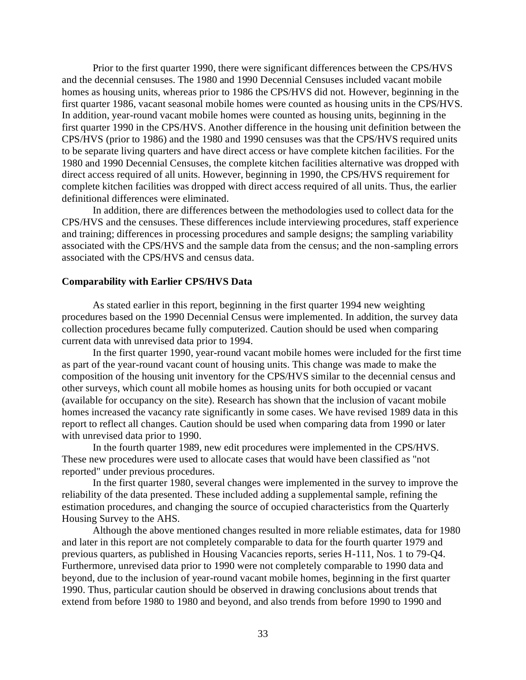Prior to the first quarter 1990, there were significant differences between the CPS/HVS and the decennial censuses. The 1980 and 1990 Decennial Censuses included vacant mobile homes as housing units, whereas prior to 1986 the CPS/HVS did not. However, beginning in the first quarter 1986, vacant seasonal mobile homes were counted as housing units in the CPS/HVS. In addition, year-round vacant mobile homes were counted as housing units, beginning in the first quarter 1990 in the CPS/HVS. Another difference in the housing unit definition between the CPS/HVS (prior to 1986) and the 1980 and 1990 censuses was that the CPS/HVS required units to be separate living quarters and have direct access or have complete kitchen facilities. For the 1980 and 1990 Decennial Censuses, the complete kitchen facilities alternative was dropped with direct access required of all units. However, beginning in 1990, the CPS/HVS requirement for complete kitchen facilities was dropped with direct access required of all units. Thus, the earlier definitional differences were eliminated.

In addition, there are differences between the methodologies used to collect data for the CPS/HVS and the censuses. These differences include interviewing procedures, staff experience and training; differences in processing procedures and sample designs; the sampling variability associated with the CPS/HVS and the sample data from the census; and the non-sampling errors associated with the CPS/HVS and census data.

### **Comparability with Earlier CPS/HVS Data**

As stated earlier in this report, beginning in the first quarter 1994 new weighting procedures based on the 1990 Decennial Census were implemented. In addition, the survey data collection procedures became fully computerized. Caution should be used when comparing current data with unrevised data prior to 1994.

In the first quarter 1990, year-round vacant mobile homes were included for the first time as part of the year-round vacant count of housing units. This change was made to make the composition of the housing unit inventory for the CPS/HVS similar to the decennial census and other surveys, which count all mobile homes as housing units for both occupied or vacant (available for occupancy on the site). Research has shown that the inclusion of vacant mobile homes increased the vacancy rate significantly in some cases. We have revised 1989 data in this report to reflect all changes. Caution should be used when comparing data from 1990 or later with unrevised data prior to 1990.

In the fourth quarter 1989, new edit procedures were implemented in the CPS/HVS. These new procedures were used to allocate cases that would have been classified as "not reported" under previous procedures.

In the first quarter 1980, several changes were implemented in the survey to improve the reliability of the data presented. These included adding a supplemental sample, refining the estimation procedures, and changing the source of occupied characteristics from the Quarterly Housing Survey to the AHS.

Although the above mentioned changes resulted in more reliable estimates, data for 1980 and later in this report are not completely comparable to data for the fourth quarter 1979 and previous quarters, as published in Housing Vacancies reports, series H-111, Nos. 1 to 79-Q4. Furthermore, unrevised data prior to 1990 were not completely comparable to 1990 data and beyond, due to the inclusion of year-round vacant mobile homes, beginning in the first quarter 1990. Thus, particular caution should be observed in drawing conclusions about trends that extend from before 1980 to 1980 and beyond, and also trends from before 1990 to 1990 and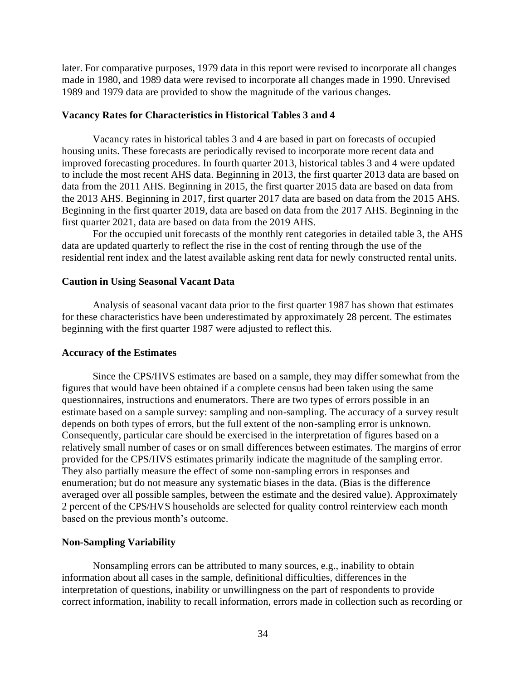later. For comparative purposes, 1979 data in this report were revised to incorporate all changes made in 1980, and 1989 data were revised to incorporate all changes made in 1990. Unrevised 1989 and 1979 data are provided to show the magnitude of the various changes.

### **Vacancy Rates for Characteristics in Historical Tables 3 and 4**

Vacancy rates in historical tables 3 and 4 are based in part on forecasts of occupied housing units. These forecasts are periodically revised to incorporate more recent data and improved forecasting procedures. In fourth quarter 2013, historical tables 3 and 4 were updated to include the most recent AHS data. Beginning in 2013, the first quarter 2013 data are based on data from the 2011 AHS. Beginning in 2015, the first quarter 2015 data are based on data from the 2013 AHS. Beginning in 2017, first quarter 2017 data are based on data from the 2015 AHS. Beginning in the first quarter 2019, data are based on data from the 2017 AHS. Beginning in the first quarter 2021, data are based on data from the 2019 AHS.

For the occupied unit forecasts of the monthly rent categories in detailed table 3, the AHS data are updated quarterly to reflect the rise in the cost of renting through the use of the residential rent index and the latest available asking rent data for newly constructed rental units.

#### **Caution in Using Seasonal Vacant Data**

Analysis of seasonal vacant data prior to the first quarter 1987 has shown that estimates for these characteristics have been underestimated by approximately 28 percent. The estimates beginning with the first quarter 1987 were adjusted to reflect this.

#### **Accuracy of the Estimates**

Since the CPS/HVS estimates are based on a sample, they may differ somewhat from the figures that would have been obtained if a complete census had been taken using the same questionnaires, instructions and enumerators. There are two types of errors possible in an estimate based on a sample survey: sampling and non-sampling. The accuracy of a survey result depends on both types of errors, but the full extent of the non-sampling error is unknown. Consequently, particular care should be exercised in the interpretation of figures based on a relatively small number of cases or on small differences between estimates. The margins of error provided for the CPS/HVS estimates primarily indicate the magnitude of the sampling error. They also partially measure the effect of some non-sampling errors in responses and enumeration; but do not measure any systematic biases in the data. (Bias is the difference averaged over all possible samples, between the estimate and the desired value). Approximately 2 percent of the CPS/HVS households are selected for quality control reinterview each month based on the previous month's outcome.

#### **Non-Sampling Variability**

Nonsampling errors can be attributed to many sources, e.g., inability to obtain information about all cases in the sample, definitional difficulties, differences in the interpretation of questions, inability or unwillingness on the part of respondents to provide correct information, inability to recall information, errors made in collection such as recording or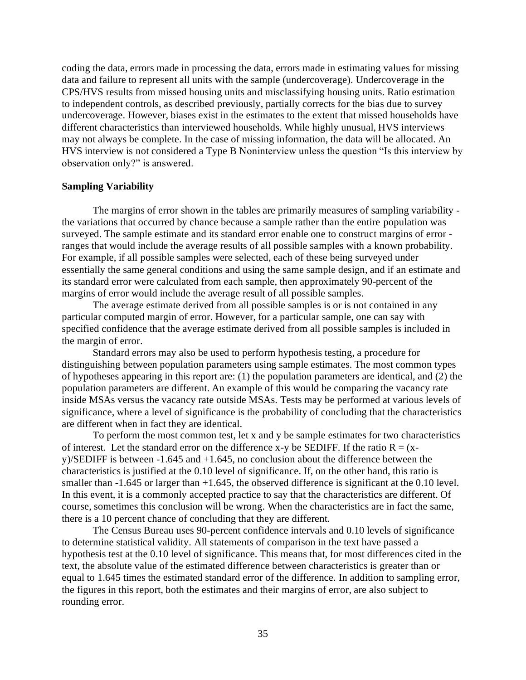coding the data, errors made in processing the data, errors made in estimating values for missing data and failure to represent all units with the sample (undercoverage). Undercoverage in the CPS/HVS results from missed housing units and misclassifying housing units. Ratio estimation to independent controls, as described previously, partially corrects for the bias due to survey undercoverage. However, biases exist in the estimates to the extent that missed households have different characteristics than interviewed households. While highly unusual, HVS interviews may not always be complete. In the case of missing information, the data will be allocated. An HVS interview is not considered a Type B Noninterview unless the question "Is this interview by observation only?" is answered.

### **Sampling Variability**

The margins of error shown in the tables are primarily measures of sampling variability the variations that occurred by chance because a sample rather than the entire population was surveyed. The sample estimate and its standard error enable one to construct margins of error ranges that would include the average results of all possible samples with a known probability. For example, if all possible samples were selected, each of these being surveyed under essentially the same general conditions and using the same sample design, and if an estimate and its standard error were calculated from each sample, then approximately 90-percent of the margins of error would include the average result of all possible samples.

The average estimate derived from all possible samples is or is not contained in any particular computed margin of error. However, for a particular sample, one can say with specified confidence that the average estimate derived from all possible samples is included in the margin of error.

Standard errors may also be used to perform hypothesis testing, a procedure for distinguishing between population parameters using sample estimates. The most common types of hypotheses appearing in this report are: (1) the population parameters are identical, and (2) the population parameters are different. An example of this would be comparing the vacancy rate inside MSAs versus the vacancy rate outside MSAs. Tests may be performed at various levels of significance, where a level of significance is the probability of concluding that the characteristics are different when in fact they are identical.

To perform the most common test, let x and y be sample estimates for two characteristics of interest. Let the standard error on the difference x-y be SEDIFF. If the ratio  $R = (x - \mathbf{r})$ y)/SEDIFF is between -1.645 and +1.645, no conclusion about the difference between the characteristics is justified at the 0.10 level of significance. If, on the other hand, this ratio is smaller than -1.645 or larger than +1.645, the observed difference is significant at the 0.10 level. In this event, it is a commonly accepted practice to say that the characteristics are different. Of course, sometimes this conclusion will be wrong. When the characteristics are in fact the same, there is a 10 percent chance of concluding that they are different.

The Census Bureau uses 90-percent confidence intervals and 0.10 levels of significance to determine statistical validity. All statements of comparison in the text have passed a hypothesis test at the 0.10 level of significance. This means that, for most differences cited in the text, the absolute value of the estimated difference between characteristics is greater than or equal to 1.645 times the estimated standard error of the difference. In addition to sampling error, the figures in this report, both the estimates and their margins of error, are also subject to rounding error.